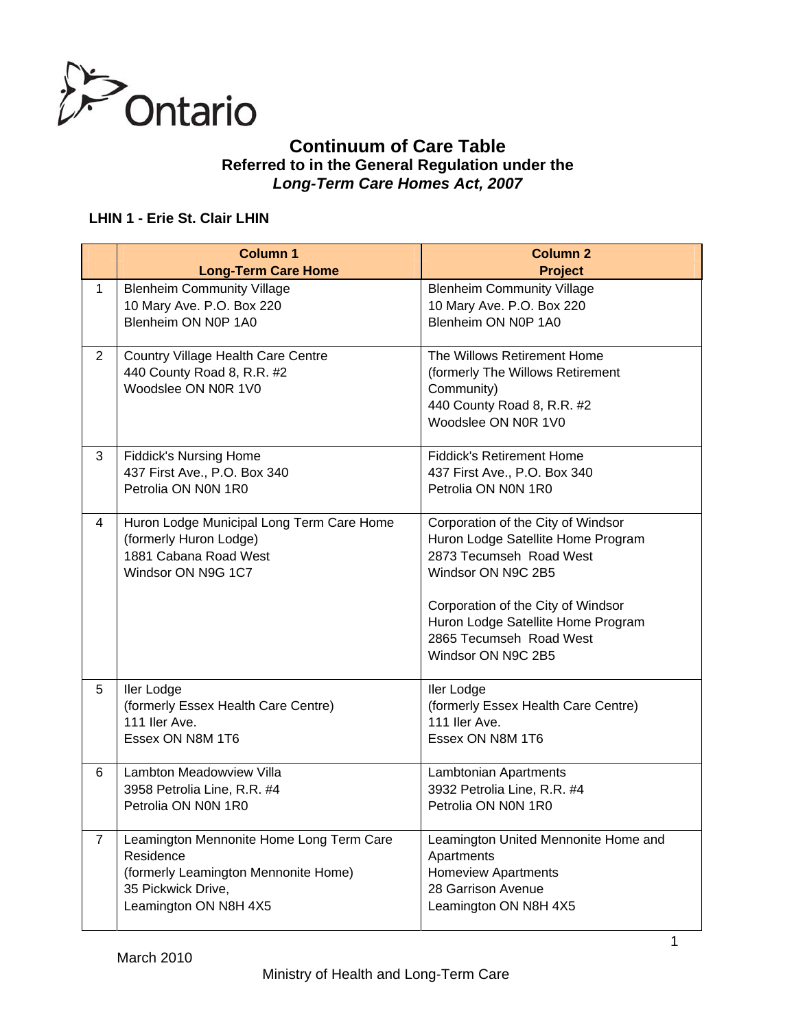

#### **Continuum of Care Table Referred to in the General Regulation under the**  *Long-Term Care Homes Act, 2007*

#### **LHIN 1 - Erie St. Clair LHIN**

|                | <b>Column 1</b><br><b>Long-Term Care Home</b>                                                                                                | <b>Column 2</b><br><b>Project</b>                                                                                                                                                                                                                      |
|----------------|----------------------------------------------------------------------------------------------------------------------------------------------|--------------------------------------------------------------------------------------------------------------------------------------------------------------------------------------------------------------------------------------------------------|
| 1              | <b>Blenheim Community Village</b><br>10 Mary Ave. P.O. Box 220<br>Blenheim ON N0P 1A0                                                        | <b>Blenheim Community Village</b><br>10 Mary Ave. P.O. Box 220<br>Blenheim ON N0P 1A0                                                                                                                                                                  |
| $\overline{2}$ | Country Village Health Care Centre<br>440 County Road 8, R.R. #2<br>Woodslee ON N0R 1V0                                                      | The Willows Retirement Home<br>(formerly The Willows Retirement<br>Community)<br>440 County Road 8, R.R. #2<br>Woodslee ON N0R 1V0                                                                                                                     |
| 3              | <b>Fiddick's Nursing Home</b><br>437 First Ave., P.O. Box 340<br>Petrolia ON N0N 1R0                                                         | <b>Fiddick's Retirement Home</b><br>437 First Ave., P.O. Box 340<br>Petrolia ON N0N 1R0                                                                                                                                                                |
| 4              | Huron Lodge Municipal Long Term Care Home<br>(formerly Huron Lodge)<br>1881 Cabana Road West<br>Windsor ON N9G 1C7                           | Corporation of the City of Windsor<br>Huron Lodge Satellite Home Program<br>2873 Tecumseh Road West<br>Windsor ON N9C 2B5<br>Corporation of the City of Windsor<br>Huron Lodge Satellite Home Program<br>2865 Tecumseh Road West<br>Windsor ON N9C 2B5 |
| 5              | Iler Lodge<br>(formerly Essex Health Care Centre)<br>111 Iler Ave.<br>Essex ON N8M 1T6                                                       | Iler Lodge<br>(formerly Essex Health Care Centre)<br>111 Iler Ave.<br>Essex ON N8M 1T6                                                                                                                                                                 |
| 6              | Lambton Meadowview Villa<br>3958 Petrolia Line, R.R. #4<br>Petrolia ON N0N 1R0                                                               | <b>Lambtonian Apartments</b><br>3932 Petrolia Line, R.R. #4<br>Petrolia ON N0N 1R0                                                                                                                                                                     |
| $\overline{7}$ | Leamington Mennonite Home Long Term Care<br>Residence<br>(formerly Leamington Mennonite Home)<br>35 Pickwick Drive,<br>Leamington ON N8H 4X5 | Leamington United Mennonite Home and<br>Apartments<br><b>Homeview Apartments</b><br>28 Garrison Avenue<br>Leamington ON N8H 4X5                                                                                                                        |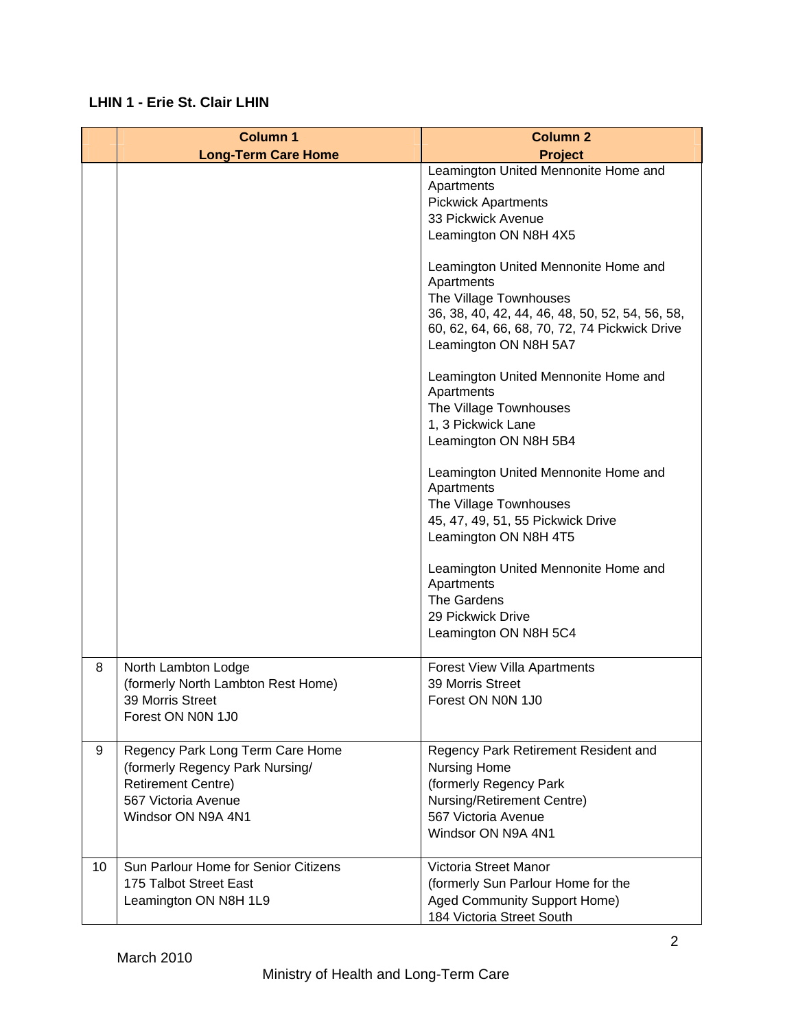#### **LHIN 1 - Erie St. Clair LHIN**

|    | <b>Column 1</b>                                                                                                                               | <b>Column 2</b>                                                                                                                                                                                           |
|----|-----------------------------------------------------------------------------------------------------------------------------------------------|-----------------------------------------------------------------------------------------------------------------------------------------------------------------------------------------------------------|
|    | <b>Long-Term Care Home</b>                                                                                                                    | <b>Project</b>                                                                                                                                                                                            |
|    |                                                                                                                                               | Leamington United Mennonite Home and<br>Apartments<br><b>Pickwick Apartments</b><br>33 Pickwick Avenue<br>Leamington ON N8H 4X5                                                                           |
|    |                                                                                                                                               | Leamington United Mennonite Home and<br>Apartments<br>The Village Townhouses<br>36, 38, 40, 42, 44, 46, 48, 50, 52, 54, 56, 58,<br>60, 62, 64, 66, 68, 70, 72, 74 Pickwick Drive<br>Leamington ON N8H 5A7 |
|    |                                                                                                                                               | Leamington United Mennonite Home and<br>Apartments<br>The Village Townhouses<br>1, 3 Pickwick Lane<br>Leamington ON N8H 5B4                                                                               |
|    |                                                                                                                                               | Leamington United Mennonite Home and<br>Apartments<br>The Village Townhouses<br>45, 47, 49, 51, 55 Pickwick Drive<br>Leamington ON N8H 4T5                                                                |
|    |                                                                                                                                               | Leamington United Mennonite Home and<br>Apartments<br>The Gardens<br>29 Pickwick Drive<br>Leamington ON N8H 5C4                                                                                           |
| 8  | North Lambton Lodge<br>(formerly North Lambton Rest Home)<br>39 Morris Street<br>Forest ON N0N 1J0                                            | Forest View Villa Apartments<br>39 Morris Street<br>Forest ON N0N 1J0                                                                                                                                     |
| 9  | Regency Park Long Term Care Home<br>(formerly Regency Park Nursing/<br><b>Retirement Centre)</b><br>567 Victoria Avenue<br>Windsor ON N9A 4N1 | Regency Park Retirement Resident and<br><b>Nursing Home</b><br>(formerly Regency Park<br>Nursing/Retirement Centre)<br>567 Victoria Avenue<br>Windsor ON N9A 4N1                                          |
| 10 | Sun Parlour Home for Senior Citizens<br>175 Talbot Street East<br>Leamington ON N8H 1L9                                                       | Victoria Street Manor<br>(formerly Sun Parlour Home for the<br>Aged Community Support Home)<br>184 Victoria Street South                                                                                  |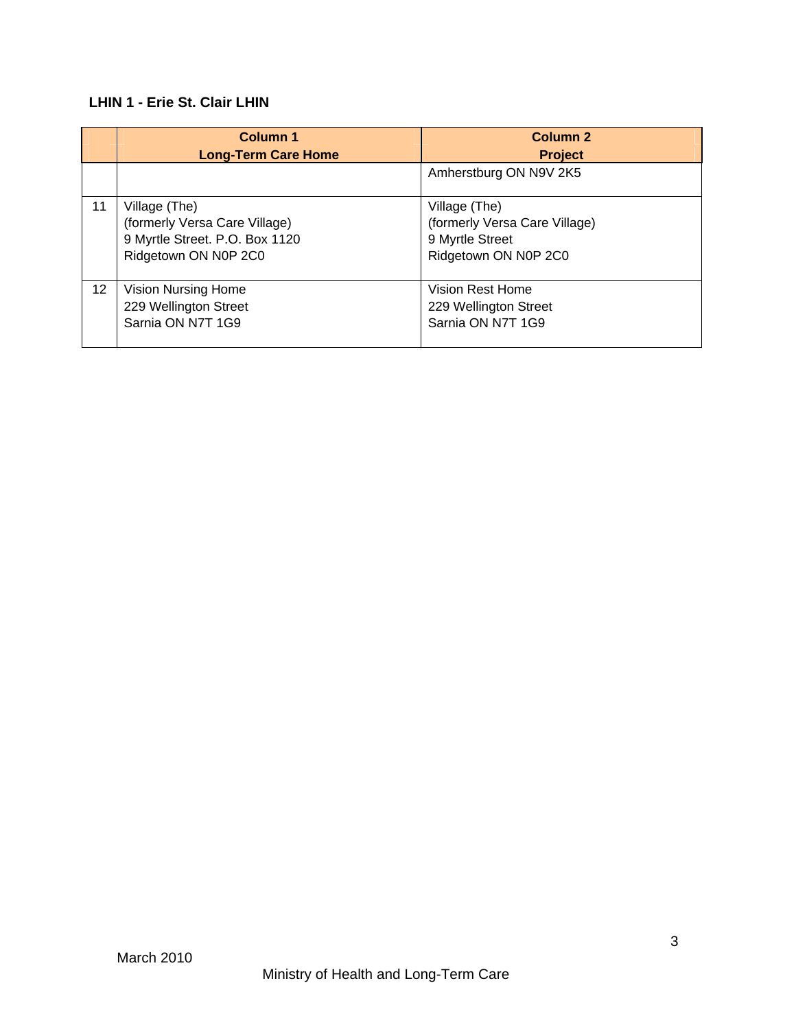#### **LHIN 1 - Erie St. Clair LHIN**

|    | <b>Column 1</b>                | <b>Column 2</b>               |
|----|--------------------------------|-------------------------------|
|    | <b>Long-Term Care Home</b>     | <b>Project</b>                |
|    |                                | Amherstburg ON N9V 2K5        |
| 11 | Village (The)                  | Village (The)                 |
|    | (formerly Versa Care Village)  | (formerly Versa Care Village) |
|    | 9 Myrtle Street. P.O. Box 1120 | 9 Myrtle Street               |
|    | Ridgetown ON N0P 2C0           | Ridgetown ON N0P 2C0          |
| 12 | Vision Nursing Home            | Vision Rest Home              |
|    | 229 Wellington Street          | 229 Wellington Street         |
|    | Sarnia ON N7T 1G9              | Sarnia ON N7T 1G9             |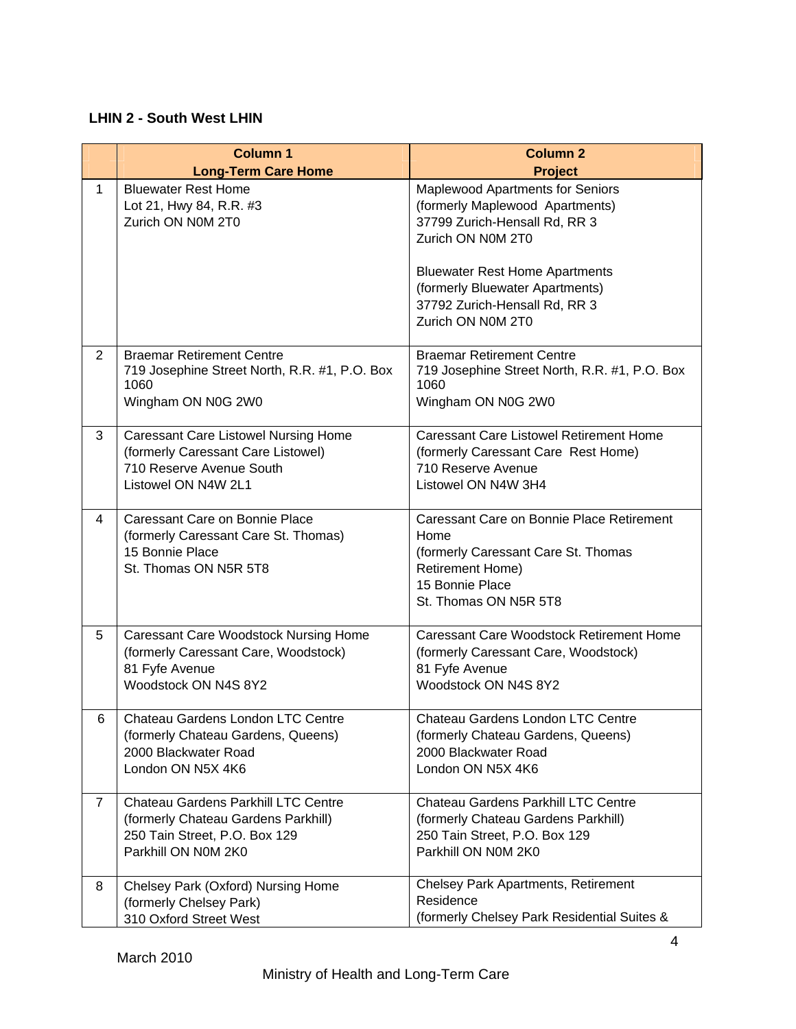|                | <b>Column 1</b><br><b>Long-Term Care Home</b>                                                                                             | <b>Column 2</b><br><b>Project</b>                                                                                                                               |
|----------------|-------------------------------------------------------------------------------------------------------------------------------------------|-----------------------------------------------------------------------------------------------------------------------------------------------------------------|
| $\mathbf 1$    | <b>Bluewater Rest Home</b><br>Lot 21, Hwy 84, R.R. #3<br>Zurich ON N0M 2T0                                                                | Maplewood Apartments for Seniors<br>(formerly Maplewood Apartments)<br>37799 Zurich-Hensall Rd, RR 3<br>Zurich ON N0M 2T0                                       |
|                |                                                                                                                                           | <b>Bluewater Rest Home Apartments</b><br>(formerly Bluewater Apartments)<br>37792 Zurich-Hensall Rd, RR 3<br>Zurich ON N0M 2T0                                  |
| $\overline{2}$ | <b>Braemar Retirement Centre</b><br>719 Josephine Street North, R.R. #1, P.O. Box<br>1060<br>Wingham ON N0G 2W0                           | <b>Braemar Retirement Centre</b><br>719 Josephine Street North, R.R. #1, P.O. Box<br>1060<br>Wingham ON N0G 2W0                                                 |
| 3              | <b>Caressant Care Listowel Nursing Home</b><br>(formerly Caressant Care Listowel)<br>710 Reserve Avenue South<br>Listowel ON N4W 2L1      | <b>Caressant Care Listowel Retirement Home</b><br>(formerly Caressant Care Rest Home)<br>710 Reserve Avenue<br>Listowel ON N4W 3H4                              |
| 4              | Caressant Care on Bonnie Place<br>(formerly Caressant Care St. Thomas)<br>15 Bonnie Place<br>St. Thomas ON N5R 5T8                        | Caressant Care on Bonnie Place Retirement<br>Home<br>(formerly Caressant Care St. Thomas<br><b>Retirement Home)</b><br>15 Bonnie Place<br>St. Thomas ON N5R 5T8 |
| 5              | Caressant Care Woodstock Nursing Home<br>(formerly Caressant Care, Woodstock)<br>81 Fyfe Avenue<br>Woodstock ON N4S 8Y2                   | Caressant Care Woodstock Retirement Home<br>(formerly Caressant Care, Woodstock)<br>81 Fyfe Avenue<br>Woodstock ON N4S 8Y2                                      |
| 6              | Chateau Gardens London LTC Centre<br>(formerly Chateau Gardens, Queens)<br>2000 Blackwater Road<br>London ON N5X 4K6                      | Chateau Gardens London LTC Centre<br>(formerly Chateau Gardens, Queens)<br>2000 Blackwater Road<br>London ON N5X 4K6                                            |
| $\overline{7}$ | <b>Chateau Gardens Parkhill LTC Centre</b><br>(formerly Chateau Gardens Parkhill)<br>250 Tain Street, P.O. Box 129<br>Parkhill ON N0M 2K0 | <b>Chateau Gardens Parkhill LTC Centre</b><br>(formerly Chateau Gardens Parkhill)<br>250 Tain Street, P.O. Box 129<br>Parkhill ON N0M 2K0                       |
| 8              | Chelsey Park (Oxford) Nursing Home<br>(formerly Chelsey Park)<br>310 Oxford Street West                                                   | <b>Chelsey Park Apartments, Retirement</b><br>Residence<br>(formerly Chelsey Park Residential Suites &                                                          |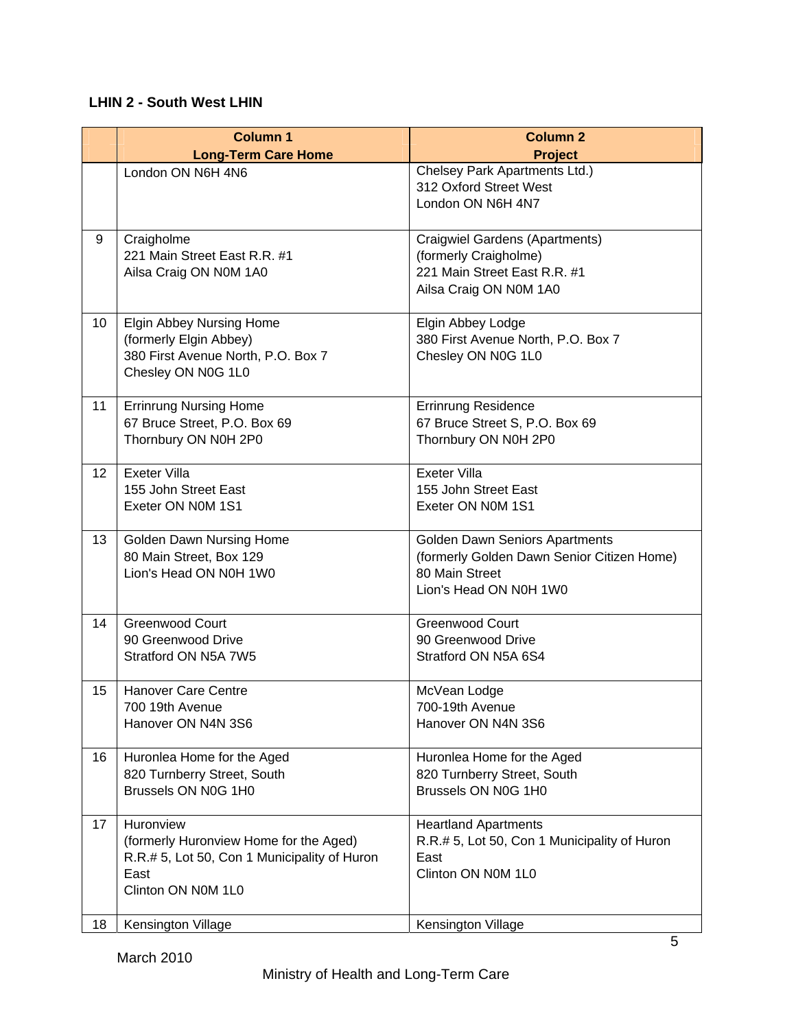|                 | <b>Column 1</b>                                        | <b>Column 2</b>                                       |
|-----------------|--------------------------------------------------------|-------------------------------------------------------|
|                 | <b>Long-Term Care Home</b>                             | <b>Project</b>                                        |
|                 | London ON N6H 4N6                                      | Chelsey Park Apartments Ltd.)                         |
|                 |                                                        | 312 Oxford Street West                                |
|                 |                                                        | London ON N6H 4N7                                     |
|                 |                                                        |                                                       |
| 9               | Craigholme                                             | Craigwiel Gardens (Apartments)                        |
|                 | 221 Main Street East R.R. #1<br>Ailsa Craig ON N0M 1A0 | (formerly Craigholme)<br>221 Main Street East R.R. #1 |
|                 |                                                        | Ailsa Craig ON N0M 1A0                                |
|                 |                                                        |                                                       |
| 10              | Elgin Abbey Nursing Home                               | Elgin Abbey Lodge                                     |
|                 | (formerly Elgin Abbey)                                 | 380 First Avenue North, P.O. Box 7                    |
|                 | 380 First Avenue North, P.O. Box 7                     | Chesley ON N0G 1L0                                    |
|                 | Chesley ON N0G 1L0                                     |                                                       |
|                 |                                                        |                                                       |
| 11              | <b>Errinrung Nursing Home</b>                          | Errinrung Residence                                   |
|                 | 67 Bruce Street, P.O. Box 69                           | 67 Bruce Street S, P.O. Box 69                        |
|                 | Thornbury ON N0H 2P0                                   | Thornbury ON N0H 2P0                                  |
| 12 <sup>2</sup> | <b>Exeter Villa</b>                                    | <b>Exeter Villa</b>                                   |
|                 | 155 John Street East                                   | 155 John Street East                                  |
|                 | Exeter ON N0M 1S1                                      | Exeter ON N0M 1S1                                     |
|                 |                                                        |                                                       |
| 13              | Golden Dawn Nursing Home                               | <b>Golden Dawn Seniors Apartments</b>                 |
|                 | 80 Main Street, Box 129                                | (formerly Golden Dawn Senior Citizen Home)            |
|                 | Lion's Head ON N0H 1W0                                 | 80 Main Street<br>Lion's Head ON N0H 1W0              |
|                 |                                                        |                                                       |
| 14              | <b>Greenwood Court</b>                                 | <b>Greenwood Court</b>                                |
|                 | 90 Greenwood Drive                                     | 90 Greenwood Drive                                    |
|                 | Stratford ON N5A 7W5                                   | Stratford ON N5A 6S4                                  |
|                 |                                                        |                                                       |
| 15              | <b>Hanover Care Centre</b>                             | McVean Lodge                                          |
|                 | 700 19th Avenue                                        | 700-19th Avenue                                       |
|                 | Hanover ON N4N 3S6                                     | Hanover ON N4N 3S6                                    |
| 16              | Huronlea Home for the Aged                             | Huronlea Home for the Aged                            |
|                 | 820 Turnberry Street, South                            | 820 Turnberry Street, South                           |
|                 | Brussels ON N0G 1H0                                    | Brussels ON N0G 1H0                                   |
| 17              | Huronview                                              | <b>Heartland Apartments</b>                           |
|                 | (formerly Huronview Home for the Aged)                 | R.R.# 5, Lot 50, Con 1 Municipality of Huron          |
|                 | R.R.# 5, Lot 50, Con 1 Municipality of Huron           | East                                                  |
|                 | East                                                   | Clinton ON N0M 1L0                                    |
|                 | Clinton ON N0M 1L0                                     |                                                       |
|                 |                                                        |                                                       |
| 18              | Kensington Village                                     | Kensington Village                                    |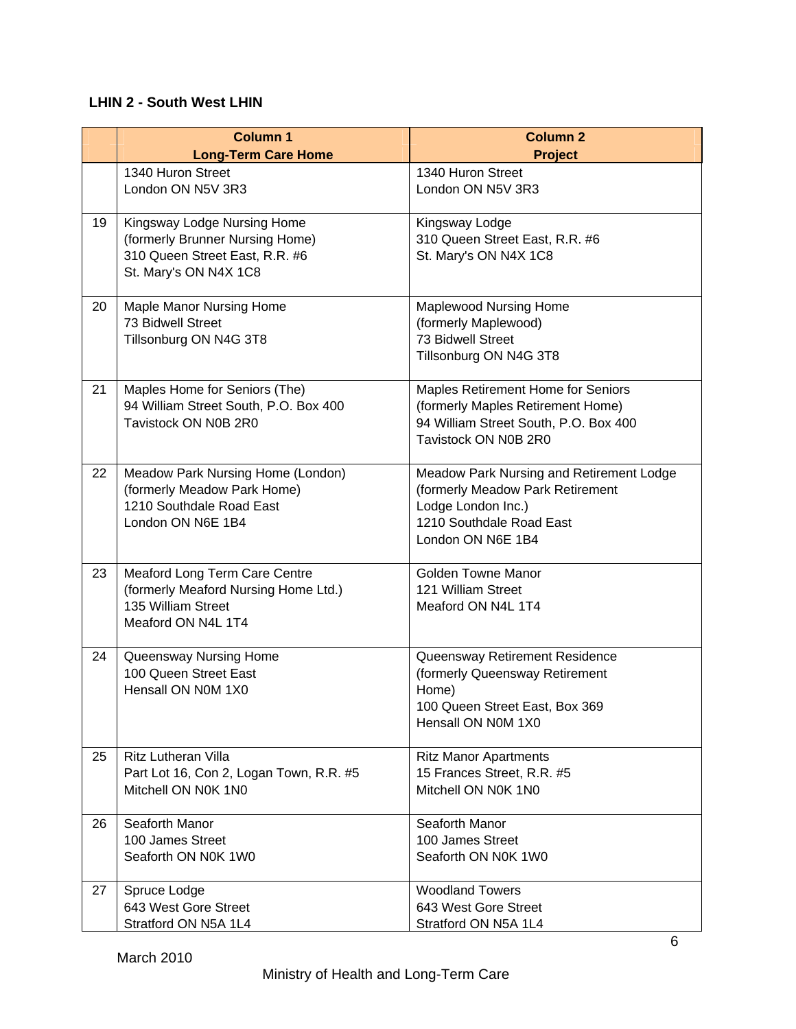|    | <b>Column 1</b>                                                                                                           | <b>Column 2</b>                                                                                                                                     |
|----|---------------------------------------------------------------------------------------------------------------------------|-----------------------------------------------------------------------------------------------------------------------------------------------------|
|    | <b>Long-Term Care Home</b>                                                                                                | <b>Project</b>                                                                                                                                      |
|    | 1340 Huron Street<br>London ON N5V 3R3                                                                                    | 1340 Huron Street<br>London ON N5V 3R3                                                                                                              |
| 19 | Kingsway Lodge Nursing Home<br>(formerly Brunner Nursing Home)<br>310 Queen Street East, R.R. #6<br>St. Mary's ON N4X 1C8 | Kingsway Lodge<br>310 Queen Street East, R.R. #6<br>St. Mary's ON N4X 1C8                                                                           |
| 20 | Maple Manor Nursing Home<br>73 Bidwell Street<br>Tillsonburg ON N4G 3T8                                                   | Maplewood Nursing Home<br>(formerly Maplewood)<br>73 Bidwell Street<br>Tillsonburg ON N4G 3T8                                                       |
| 21 | Maples Home for Seniors (The)<br>94 William Street South, P.O. Box 400<br>Tavistock ON N0B 2R0                            | Maples Retirement Home for Seniors<br>(formerly Maples Retirement Home)<br>94 William Street South, P.O. Box 400<br>Tavistock ON N0B 2R0            |
| 22 | Meadow Park Nursing Home (London)<br>(formerly Meadow Park Home)<br>1210 Southdale Road East<br>London ON N6E 1B4         | Meadow Park Nursing and Retirement Lodge<br>(formerly Meadow Park Retirement<br>Lodge London Inc.)<br>1210 Southdale Road East<br>London ON N6E 1B4 |
| 23 | Meaford Long Term Care Centre<br>(formerly Meaford Nursing Home Ltd.)<br>135 William Street<br>Meaford ON N4L 1T4         | <b>Golden Towne Manor</b><br>121 William Street<br>Meaford ON N4L 1T4                                                                               |
| 24 | Queensway Nursing Home<br>100 Queen Street East<br>Hensall ON N0M 1X0                                                     | Queensway Retirement Residence<br>(formerly Queensway Retirement<br>Home)<br>100 Queen Street East, Box 369<br>Hensall ON N0M 1X0                   |
| 25 | Ritz Lutheran Villa<br>Part Lot 16, Con 2, Logan Town, R.R. #5<br>Mitchell ON N0K 1N0                                     | <b>Ritz Manor Apartments</b><br>15 Frances Street, R.R. #5<br>Mitchell ON N0K 1N0                                                                   |
| 26 | Seaforth Manor<br>100 James Street<br>Seaforth ON N0K 1W0                                                                 | Seaforth Manor<br>100 James Street<br>Seaforth ON N0K 1W0                                                                                           |
| 27 | Spruce Lodge<br>643 West Gore Street<br>Stratford ON N5A 1L4                                                              | <b>Woodland Towers</b><br>643 West Gore Street<br>Stratford ON N5A 1L4                                                                              |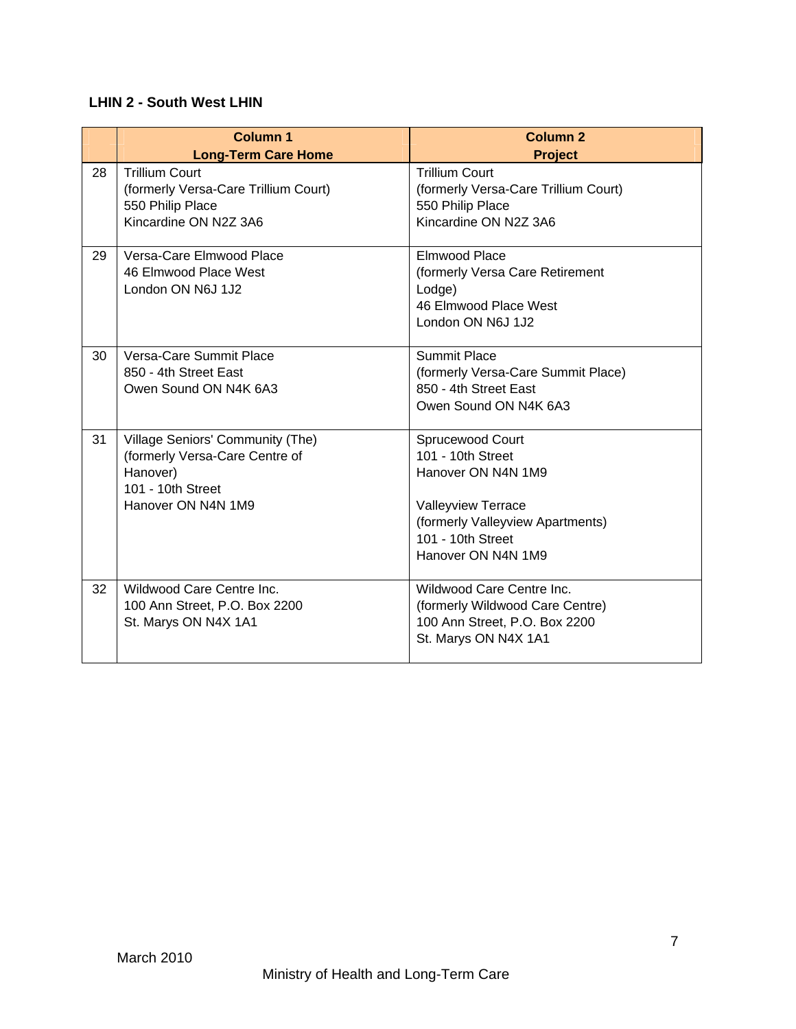|    | <b>Column 1</b><br><b>Long-Term Care Home</b>                                                                             | <b>Column 2</b><br><b>Project</b>                                                                                                                                       |
|----|---------------------------------------------------------------------------------------------------------------------------|-------------------------------------------------------------------------------------------------------------------------------------------------------------------------|
| 28 | <b>Trillium Court</b><br>(formerly Versa-Care Trillium Court)<br>550 Philip Place<br>Kincardine ON N2Z 3A6                | <b>Trillium Court</b><br>(formerly Versa-Care Trillium Court)<br>550 Philip Place<br>Kincardine ON N2Z 3A6                                                              |
| 29 | Versa-Care Elmwood Place<br>46 Elmwood Place West<br>London ON N6J 1J2                                                    | Elmwood Place<br>(formerly Versa Care Retirement<br>Lodge)<br>46 Elmwood Place West<br>London ON N6J 1J2                                                                |
| 30 | Versa-Care Summit Place<br>850 - 4th Street East<br>Owen Sound ON N4K 6A3                                                 | <b>Summit Place</b><br>(formerly Versa-Care Summit Place)<br>850 - 4th Street East<br>Owen Sound ON N4K 6A3                                                             |
| 31 | Village Seniors' Community (The)<br>(formerly Versa-Care Centre of<br>Hanover)<br>101 - 10th Street<br>Hanover ON N4N 1M9 | Sprucewood Court<br>101 - 10th Street<br>Hanover ON N4N 1M9<br><b>Valleyview Terrace</b><br>(formerly Valleyview Apartments)<br>101 - 10th Street<br>Hanover ON N4N 1M9 |
| 32 | Wildwood Care Centre Inc.<br>100 Ann Street, P.O. Box 2200<br>St. Marys ON N4X 1A1                                        | Wildwood Care Centre Inc.<br>(formerly Wildwood Care Centre)<br>100 Ann Street, P.O. Box 2200<br>St. Marys ON N4X 1A1                                                   |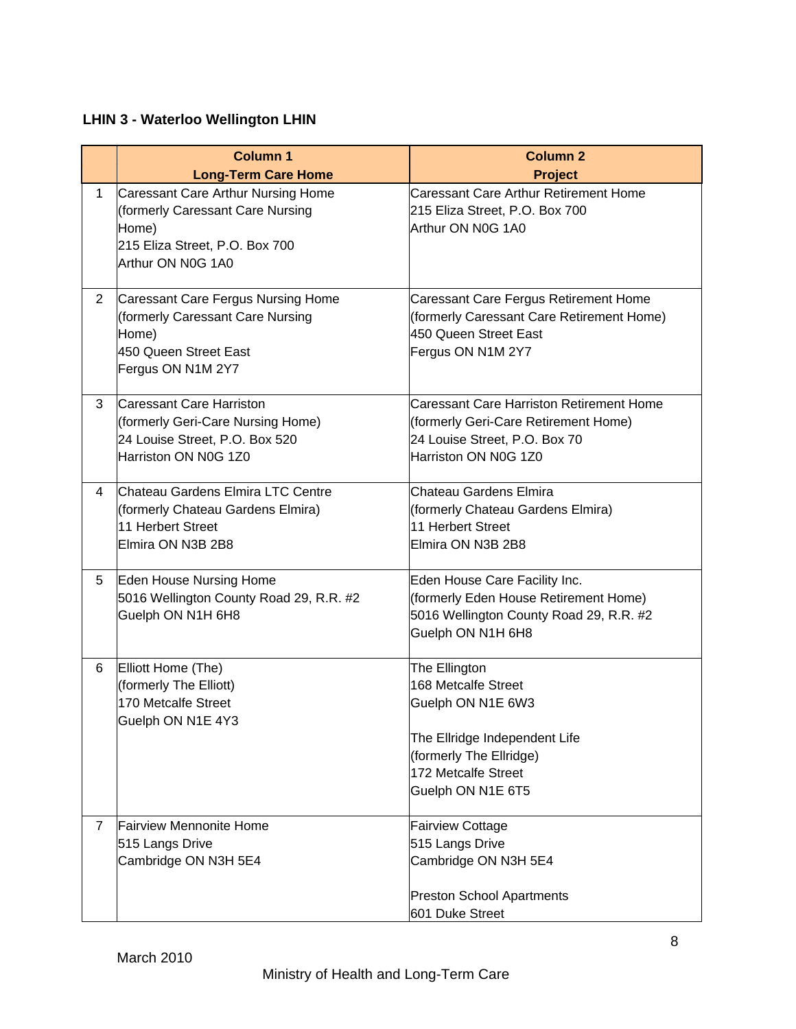## **LHIN 3 - Waterloo Wellington LHIN**

|                       | <b>Column 1</b><br><b>Long-Term Care Home</b>                                                                                          | <b>Column 2</b><br><b>Project</b>                                                                                                                                 |
|-----------------------|----------------------------------------------------------------------------------------------------------------------------------------|-------------------------------------------------------------------------------------------------------------------------------------------------------------------|
| $\mathbf{1}$          | Caressant Care Arthur Nursing Home<br>(formerly Caressant Care Nursing<br>Home)<br>215 Eliza Street, P.O. Box 700<br>Arthur ON N0G 1A0 | Caressant Care Arthur Retirement Home<br>215 Eliza Street, P.O. Box 700<br>Arthur ON N0G 1A0                                                                      |
| $\mathbf{2}^{\prime}$ | Caressant Care Fergus Nursing Home<br>(formerly Caressant Care Nursing<br>Home)<br>450 Queen Street East<br>Fergus ON N1M 2Y7          | Caressant Care Fergus Retirement Home<br>(formerly Caressant Care Retirement Home)<br>450 Queen Street East<br>Fergus ON N1M 2Y7                                  |
| 3                     | Caressant Care Harriston<br>(formerly Geri-Care Nursing Home)<br>24 Louise Street, P.O. Box 520<br>Harriston ON N0G 1Z0                | <b>Caressant Care Harriston Retirement Home</b><br>(formerly Geri-Care Retirement Home)<br>24 Louise Street, P.O. Box 70<br>Harriston ON N0G 1Z0                  |
| 4                     | Chateau Gardens Elmira LTC Centre<br>(formerly Chateau Gardens Elmira)<br>11 Herbert Street<br>Elmira ON N3B 2B8                       | Chateau Gardens Elmira<br>(formerly Chateau Gardens Elmira)<br>11 Herbert Street<br>Elmira ON N3B 2B8                                                             |
| 5                     | Eden House Nursing Home<br>5016 Wellington County Road 29, R.R. #2<br>Guelph ON N1H 6H8                                                | Eden House Care Facility Inc.<br>(formerly Eden House Retirement Home)<br>5016 Wellington County Road 29, R.R. #2<br>Guelph ON N1H 6H8                            |
| 6                     | Elliott Home (The)<br>(formerly The Elliott)<br>170 Metcalfe Street<br>Guelph ON N1E 4Y3                                               | The Ellington<br>168 Metcalfe Street<br>Guelph ON N1E 6W3<br>The Ellridge Independent Life<br>(formerly The Ellridge)<br>172 Metcalfe Street<br>Guelph ON N1E 6T5 |
| $\overline{7}$        | <b>Fairview Mennonite Home</b><br>515 Langs Drive<br>Cambridge ON N3H 5E4                                                              | <b>Fairview Cottage</b><br>515 Langs Drive<br>Cambridge ON N3H 5E4<br><b>Preston School Apartments</b><br>601 Duke Street                                         |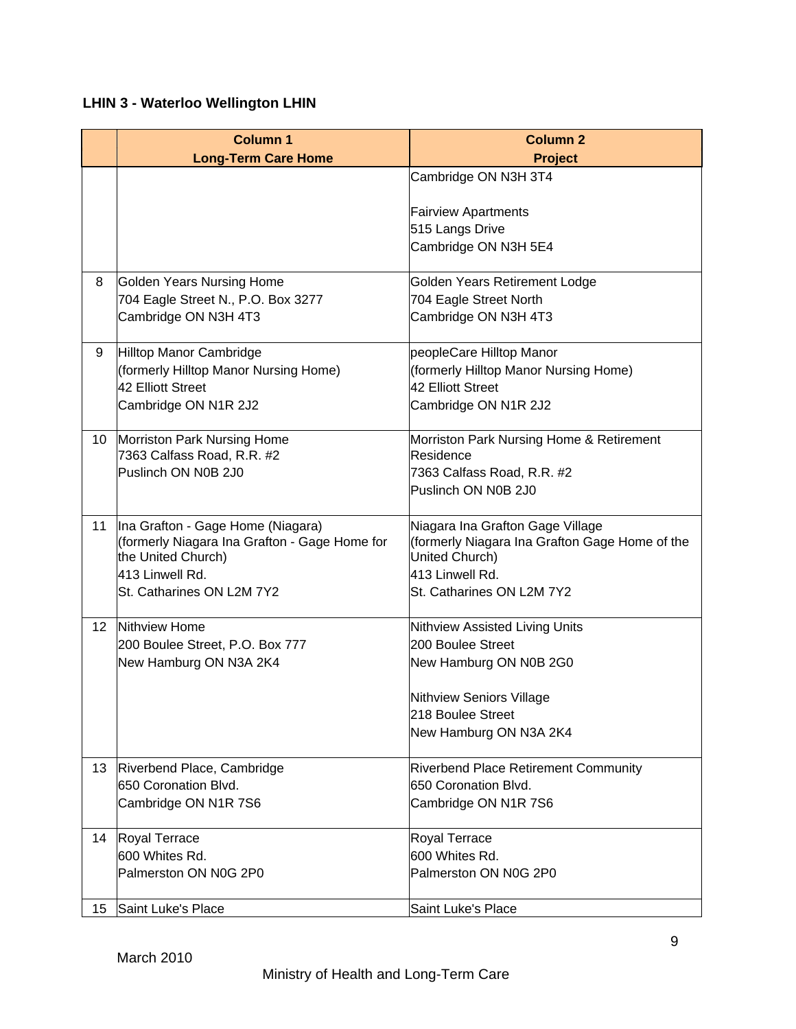## **LHIN 3 - Waterloo Wellington LHIN**

|                 | <b>Column 1</b>                               | <b>Column 2</b>                                |
|-----------------|-----------------------------------------------|------------------------------------------------|
|                 | <b>Long-Term Care Home</b>                    | <b>Project</b>                                 |
|                 |                                               | Cambridge ON N3H 3T4                           |
|                 |                                               |                                                |
|                 |                                               | <b>Fairview Apartments</b>                     |
|                 |                                               | 515 Langs Drive                                |
|                 |                                               | Cambridge ON N3H 5E4                           |
| 8               | Golden Years Nursing Home                     | Golden Years Retirement Lodge                  |
|                 | 704 Eagle Street N., P.O. Box 3277            | 704 Eagle Street North                         |
|                 | Cambridge ON N3H 4T3                          | Cambridge ON N3H 4T3                           |
| 9               | Hilltop Manor Cambridge                       | peopleCare Hilltop Manor                       |
|                 | (formerly Hilltop Manor Nursing Home)         | (formerly Hilltop Manor Nursing Home)          |
|                 | 42 Elliott Street                             | <b>42 Elliott Street</b>                       |
|                 | Cambridge ON N1R 2J2                          | Cambridge ON N1R 2J2                           |
| 10              | Morriston Park Nursing Home                   | Morriston Park Nursing Home & Retirement       |
|                 | 7363 Calfass Road, R.R. #2                    | Residence                                      |
|                 | Puslinch ON N0B 2J0                           | 7363 Calfass Road, R.R. #2                     |
|                 |                                               | Puslinch ON N0B 2J0                            |
| 11              | Ina Grafton - Gage Home (Niagara)             | Niagara Ina Grafton Gage Village               |
|                 | (formerly Niagara Ina Grafton - Gage Home for | (formerly Niagara Ina Grafton Gage Home of the |
|                 | the United Church)<br>413 Linwell Rd.         | United Church)<br>413 Linwell Rd.              |
|                 | St. Catharines ON L2M 7Y2                     | St. Catharines ON L2M 7Y2                      |
|                 |                                               |                                                |
| 12 <sup>2</sup> | Nithview Home                                 | Nithview Assisted Living Units                 |
|                 | 200 Boulee Street, P.O. Box 777               | 200 Boulee Street                              |
|                 | New Hamburg ON N3A 2K4                        | New Hamburg ON N0B 2G0                         |
|                 |                                               | <b>Nithview Seniors Village</b>                |
|                 |                                               | 218 Boulee Street                              |
|                 |                                               | New Hamburg ON N3A 2K4                         |
| 13              | Riverbend Place, Cambridge                    | <b>Riverbend Place Retirement Community</b>    |
|                 | 650 Coronation Blvd.                          | 650 Coronation Blvd.                           |
|                 | Cambridge ON N1R 7S6                          | Cambridge ON N1R 7S6                           |
| 14              | Royal Terrace                                 | Royal Terrace                                  |
|                 | 600 Whites Rd.                                | 600 Whites Rd.                                 |
|                 | Palmerston ON N0G 2P0                         | Palmerston ON N0G 2P0                          |
| 15              | Saint Luke's Place                            | Saint Luke's Place                             |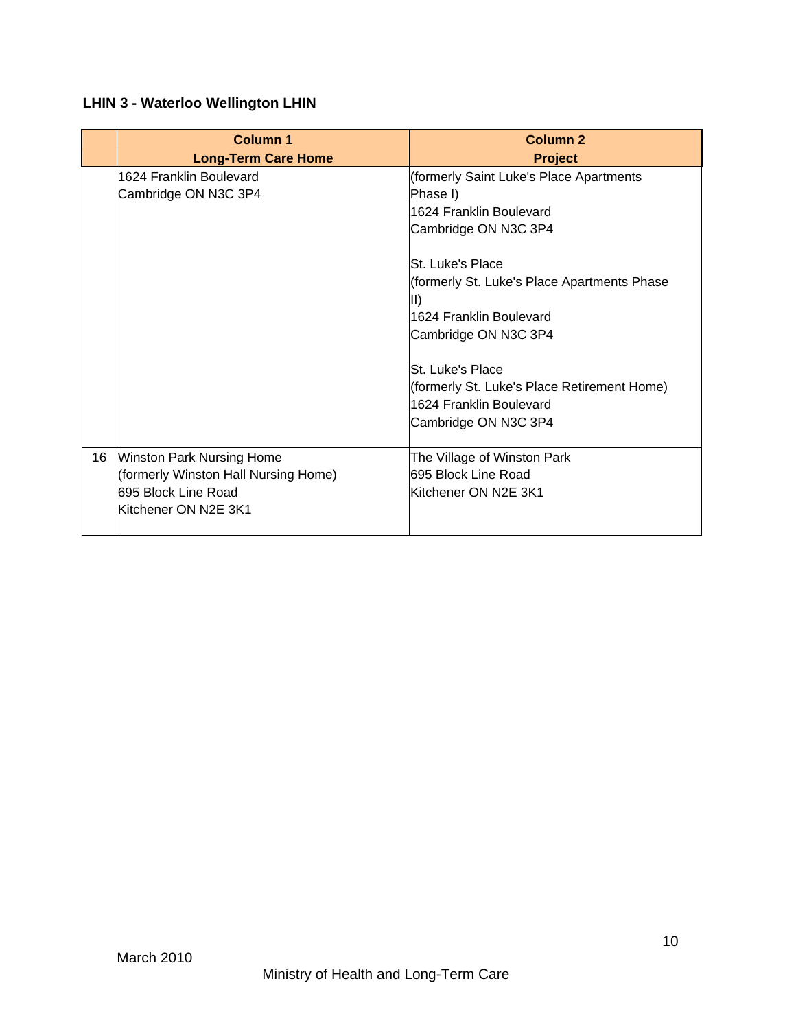## **LHIN 3 - Waterloo Wellington LHIN**

|    | Column <sub>1</sub><br><b>Long-Term Care Home</b>                                                                       | <b>Column 2</b><br><b>Project</b>                                                                                                                                                                                                                                                                                                                           |
|----|-------------------------------------------------------------------------------------------------------------------------|-------------------------------------------------------------------------------------------------------------------------------------------------------------------------------------------------------------------------------------------------------------------------------------------------------------------------------------------------------------|
|    | 1624 Franklin Boulevard<br>Cambridge ON N3C 3P4                                                                         | (formerly Saint Luke's Place Apartments<br>Phase I)<br>1624 Franklin Boulevard<br>Cambridge ON N3C 3P4<br>lSt. Luke's Place<br>(formerly St. Luke's Place Apartments Phase<br>III)<br>1624 Franklin Boulevard<br>Cambridge ON N3C 3P4<br>St. Luke's Place<br>(formerly St. Luke's Place Retirement Home)<br>1624 Franklin Boulevard<br>Cambridge ON N3C 3P4 |
| 16 | <b>Winston Park Nursing Home</b><br>(formerly Winston Hall Nursing Home)<br>695 Block Line Road<br>Kitchener ON N2E 3K1 | The Village of Winston Park<br>1695 Block Line Road<br>lKitchener ON N2E 3K1                                                                                                                                                                                                                                                                                |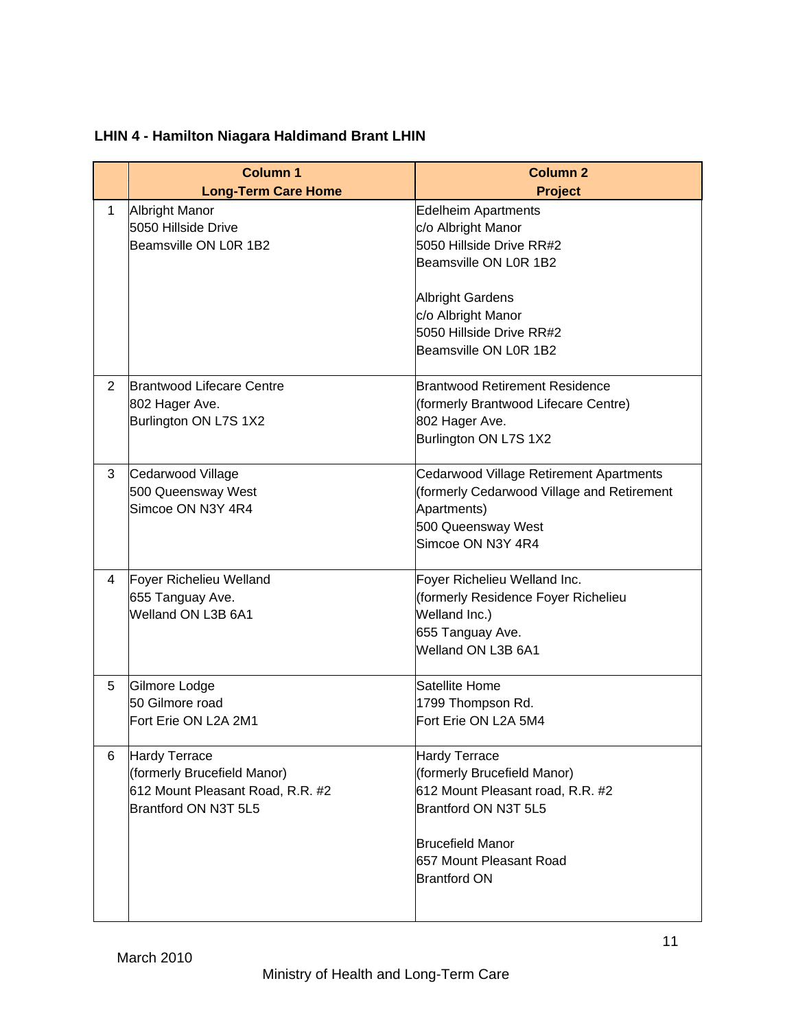|                | <b>Column 1</b>                                                                                          | <b>Column 2</b>                                                                                                                                 |
|----------------|----------------------------------------------------------------------------------------------------------|-------------------------------------------------------------------------------------------------------------------------------------------------|
|                | <b>Long-Term Care Home</b>                                                                               | <b>Project</b>                                                                                                                                  |
| 1              | <b>Albright Manor</b><br>5050 Hillside Drive<br>Beamsville ON L0R 1B2                                    | <b>Edelheim Apartments</b><br>c/o Albright Manor<br>5050 Hillside Drive RR#2                                                                    |
|                |                                                                                                          | Beamsville ON L0R 1B2                                                                                                                           |
|                |                                                                                                          | <b>Albright Gardens</b><br>c/o Albright Manor                                                                                                   |
|                |                                                                                                          | 5050 Hillside Drive RR#2<br>Beamsville ON L0R 1B2                                                                                               |
| $\overline{2}$ | Brantwood Lifecare Centre<br>802 Hager Ave.<br>Burlington ON L7S 1X2                                     | <b>Brantwood Retirement Residence</b><br>(formerly Brantwood Lifecare Centre)<br>802 Hager Ave.<br>Burlington ON L7S 1X2                        |
| 3              | Cedarwood Village<br>500 Queensway West<br>Simcoe ON N3Y 4R4                                             | Cedarwood Village Retirement Apartments<br>(formerly Cedarwood Village and Retirement<br>Apartments)<br>500 Queensway West<br>Simcoe ON N3Y 4R4 |
| 4              | Foyer Richelieu Welland<br>655 Tanguay Ave.<br>Welland ON L3B 6A1                                        | Foyer Richelieu Welland Inc.<br>(formerly Residence Foyer Richelieu<br>Welland Inc.)<br>655 Tanguay Ave.<br>Welland ON L3B 6A1                  |
| 5              | Gilmore Lodge<br>50 Gilmore road<br>Fort Erie ON L2A 2M1                                                 | Satellite Home<br>1799 Thompson Rd.<br>Fort Erie ON L2A 5M4                                                                                     |
| 6              | Hardy Terrace<br>(formerly Brucefield Manor)<br>612 Mount Pleasant Road, R.R. #2<br>Brantford ON N3T 5L5 | Hardy Terrace<br>(formerly Brucefield Manor)<br>612 Mount Pleasant road, R.R. #2<br>Brantford ON N3T 5L5                                        |
|                |                                                                                                          | <b>Brucefield Manor</b><br>657 Mount Pleasant Road<br><b>Brantford ON</b>                                                                       |

# **LHIN 4 - Hamilton Niagara Haldimand Brant LHIN**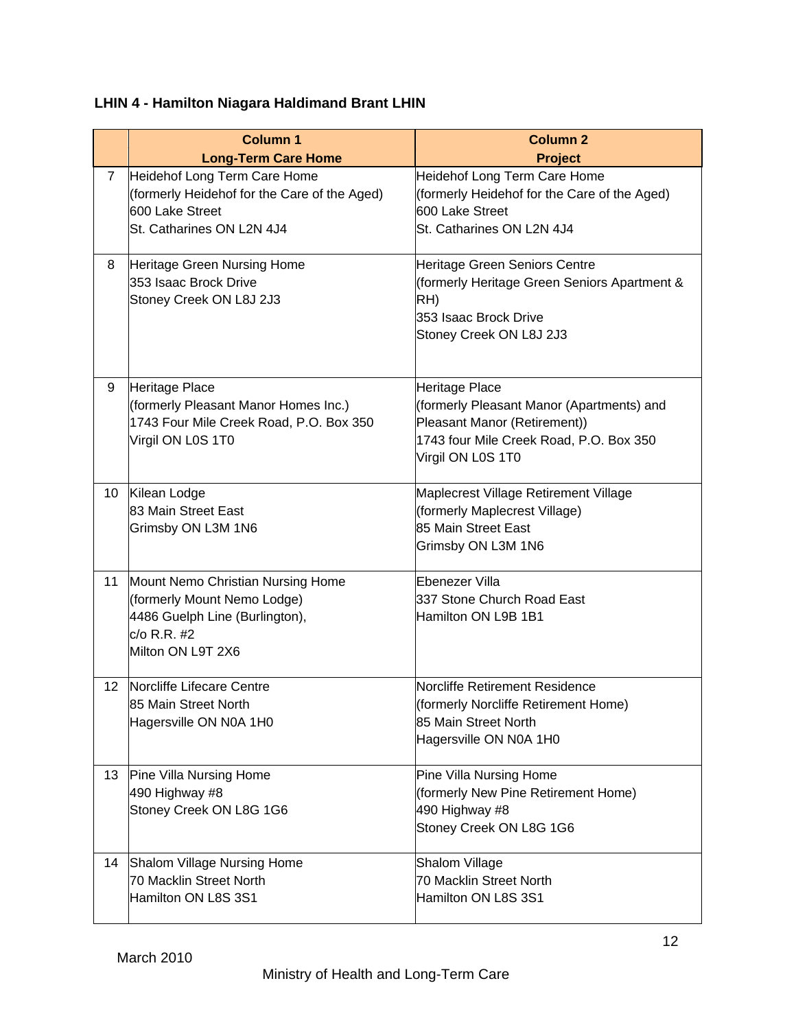## **LHIN 4 - Hamilton Niagara Haldimand Brant LHIN**

|                   | <b>Column 1</b>                                                              | <b>Column 2</b>                                                              |
|-------------------|------------------------------------------------------------------------------|------------------------------------------------------------------------------|
|                   | <b>Long-Term Care Home</b>                                                   | <b>Project</b>                                                               |
| $\overline{7}$    | Heidehof Long Term Care Home<br>(formerly Heidehof for the Care of the Aged) | Heidehof Long Term Care Home<br>(formerly Heidehof for the Care of the Aged) |
|                   | 600 Lake Street                                                              | 600 Lake Street                                                              |
|                   | St. Catharines ON L2N 4J4                                                    | St. Catharines ON L2N 4J4                                                    |
|                   |                                                                              |                                                                              |
| 8                 | Heritage Green Nursing Home                                                  | Heritage Green Seniors Centre                                                |
|                   | 353 Isaac Brock Drive                                                        | (formerly Heritage Green Seniors Apartment &                                 |
|                   | Stoney Creek ON L8J 2J3                                                      | RH)                                                                          |
|                   |                                                                              | 353 Isaac Brock Drive                                                        |
|                   |                                                                              | Stoney Creek ON L8J 2J3                                                      |
|                   |                                                                              |                                                                              |
| 9                 | Heritage Place                                                               | Heritage Place                                                               |
|                   | (formerly Pleasant Manor Homes Inc.)                                         | (formerly Pleasant Manor (Apartments) and                                    |
|                   | 1743 Four Mile Creek Road, P.O. Box 350                                      | Pleasant Manor (Retirement))                                                 |
|                   | Virgil ON L0S 1T0                                                            | 1743 four Mile Creek Road, P.O. Box 350                                      |
|                   |                                                                              | Virgil ON L0S 1T0                                                            |
| 10                | Kilean Lodge                                                                 | Maplecrest Village Retirement Village                                        |
|                   | 83 Main Street East                                                          | (formerly Maplecrest Village)                                                |
|                   | Grimsby ON L3M 1N6                                                           | 85 Main Street East                                                          |
|                   |                                                                              | Grimsby ON L3M 1N6                                                           |
| 11                | Mount Nemo Christian Nursing Home                                            | Ebenezer Villa                                                               |
|                   | (formerly Mount Nemo Lodge)                                                  | 337 Stone Church Road East                                                   |
|                   | 4486 Guelph Line (Burlington),                                               | Hamilton ON L9B 1B1                                                          |
|                   | $c$ / $o$ R.R. #2                                                            |                                                                              |
|                   | Milton ON L9T 2X6                                                            |                                                                              |
| $12 \overline{ }$ | Norcliffe Lifecare Centre                                                    | Norcliffe Retirement Residence                                               |
|                   | 85 Main Street North                                                         | (formerly Norcliffe Retirement Home)                                         |
|                   | Hagersville ON N0A 1H0                                                       | 85 Main Street North                                                         |
|                   |                                                                              | Hagersville ON N0A 1H0                                                       |
| 13                | Pine Villa Nursing Home                                                      | Pine Villa Nursing Home                                                      |
|                   | 490 Highway #8                                                               | (formerly New Pine Retirement Home)                                          |
|                   | Stoney Creek ON L8G 1G6                                                      | 490 Highway #8                                                               |
|                   |                                                                              | Stoney Creek ON L8G 1G6                                                      |
| 14                | Shalom Village Nursing Home                                                  | Shalom Village                                                               |
|                   | 70 Macklin Street North                                                      | 70 Macklin Street North                                                      |
|                   | Hamilton ON L8S 3S1                                                          | Hamilton ON L8S 3S1                                                          |
|                   |                                                                              |                                                                              |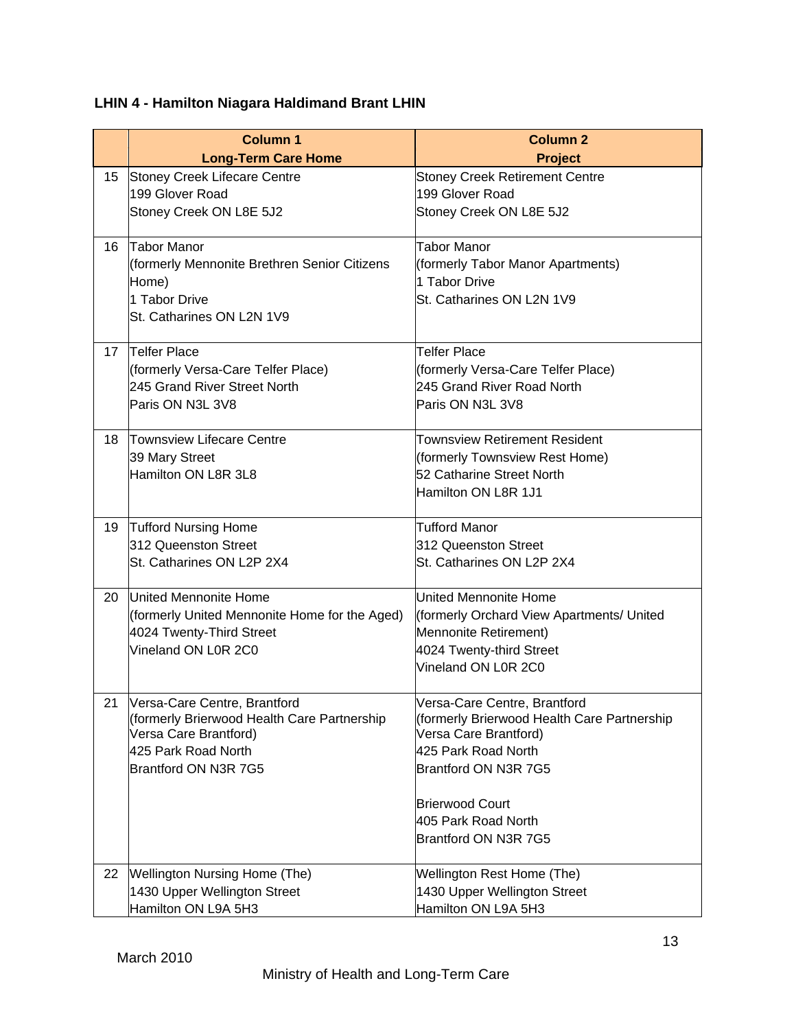## **LHIN 4 - Hamilton Niagara Haldimand Brant LHIN**

|    | <b>Column 1</b>                               | <b>Column 2</b>                             |
|----|-----------------------------------------------|---------------------------------------------|
|    | <b>Long-Term Care Home</b>                    | <b>Project</b>                              |
| 15 | Stoney Creek Lifecare Centre                  | <b>Stoney Creek Retirement Centre</b>       |
|    | 199 Glover Road                               | 199 Glover Road                             |
|    | Stoney Creek ON L8E 5J2                       | Stoney Creek ON L8E 5J2                     |
| 16 | <b>Tabor Manor</b>                            | <b>Tabor Manor</b>                          |
|    | (formerly Mennonite Brethren Senior Citizens  | (formerly Tabor Manor Apartments)           |
|    | Home)                                         | 1 Tabor Drive                               |
|    | 1 Tabor Drive                                 | St. Catharines ON L2N 1V9                   |
|    | St. Catharines ON L2N 1V9                     |                                             |
| 17 | <b>Telfer Place</b>                           | <b>Telfer Place</b>                         |
|    | (formerly Versa-Care Telfer Place)            | (formerly Versa-Care Telfer Place)          |
|    | 245 Grand River Street North                  | 245 Grand River Road North                  |
|    | Paris ON N3L 3V8                              | Paris ON N3L 3V8                            |
| 18 | <b>Townsview Lifecare Centre</b>              | <b>Townsview Retirement Resident</b>        |
|    | 39 Mary Street                                | (formerly Townsview Rest Home)              |
|    | Hamilton ON L8R 3L8                           | 52 Catharine Street North                   |
|    |                                               | Hamilton ON L8R 1J1                         |
| 19 | <b>Tufford Nursing Home</b>                   | <b>Tufford Manor</b>                        |
|    | 312 Queenston Street                          | 312 Queenston Street                        |
|    | St. Catharines ON L2P 2X4                     | St. Catharines ON L2P 2X4                   |
| 20 | United Mennonite Home                         | United Mennonite Home                       |
|    | (formerly United Mennonite Home for the Aged) | (formerly Orchard View Apartments/ United   |
|    | 4024 Twenty-Third Street                      | Mennonite Retirement)                       |
|    | Vineland ON L0R 2C0                           | 4024 Twenty-third Street                    |
|    |                                               | Vineland ON L0R 2C0                         |
| 21 | Versa-Care Centre, Brantford                  | Versa-Care Centre, Brantford                |
|    | (formerly Brierwood Health Care Partnership   | (formerly Brierwood Health Care Partnership |
|    | Versa Care Brantford)                         | Versa Care Brantford)                       |
|    | 425 Park Road North                           | 425 Park Road North                         |
|    | Brantford ON N3R 7G5                          | Brantford ON N3R 7G5                        |
|    |                                               | <b>Brierwood Court</b>                      |
|    |                                               | 405 Park Road North                         |
|    |                                               | Brantford ON N3R 7G5                        |
| 22 | <b>Wellington Nursing Home (The)</b>          | Wellington Rest Home (The)                  |
|    | 1430 Upper Wellington Street                  | 1430 Upper Wellington Street                |
|    | Hamilton ON L9A 5H3                           | Hamilton ON L9A 5H3                         |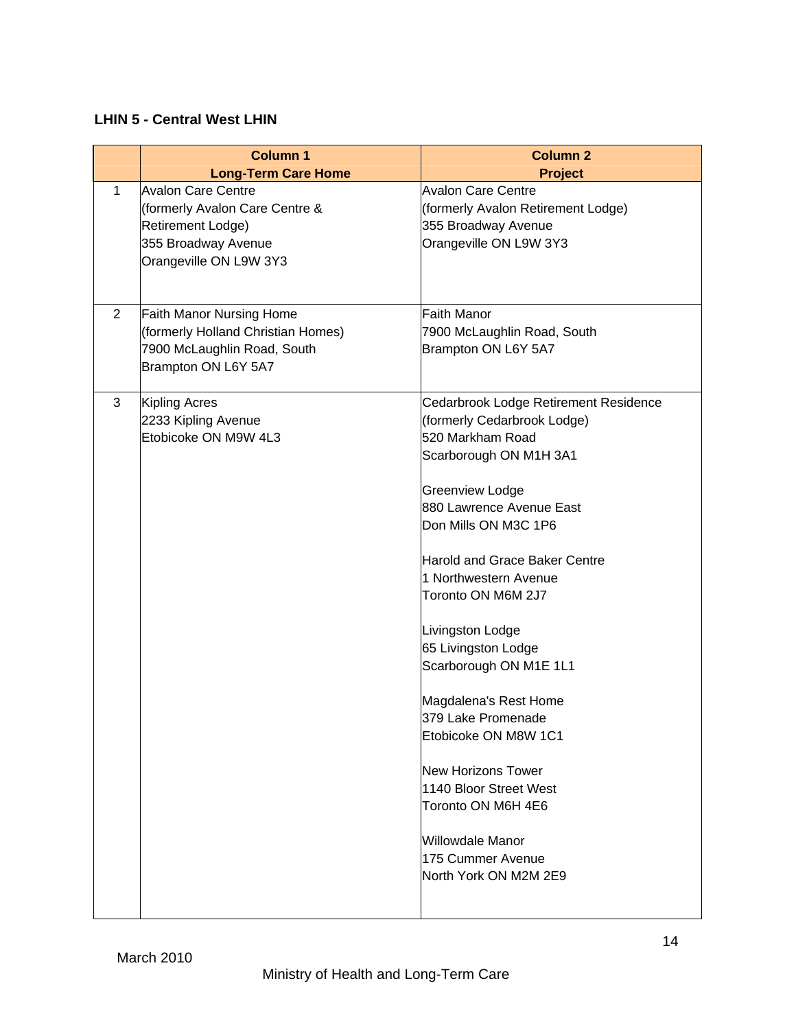#### **LHIN 5 - Central West LHIN**

|                | <b>Column 1</b><br><b>Long-Term Care Home</b>                                                                                     | <b>Column 2</b><br><b>Project</b>                                                                                                                                                                                                                                                                                                                                                                                                                                                                                                                                                  |
|----------------|-----------------------------------------------------------------------------------------------------------------------------------|------------------------------------------------------------------------------------------------------------------------------------------------------------------------------------------------------------------------------------------------------------------------------------------------------------------------------------------------------------------------------------------------------------------------------------------------------------------------------------------------------------------------------------------------------------------------------------|
| 1              | <b>Avalon Care Centre</b><br>(formerly Avalon Care Centre &<br>Retirement Lodge)<br>355 Broadway Avenue<br>Orangeville ON L9W 3Y3 | <b>Avalon Care Centre</b><br>(formerly Avalon Retirement Lodge)<br>355 Broadway Avenue<br>Orangeville ON L9W 3Y3                                                                                                                                                                                                                                                                                                                                                                                                                                                                   |
| $\overline{2}$ | <b>Faith Manor Nursing Home</b><br>(formerly Holland Christian Homes)<br>7900 McLaughlin Road, South<br>Brampton ON L6Y 5A7       | <b>Faith Manor</b><br>7900 McLaughlin Road, South<br>Brampton ON L6Y 5A7                                                                                                                                                                                                                                                                                                                                                                                                                                                                                                           |
| 3              | Kipling Acres<br>2233 Kipling Avenue<br>Etobicoke ON M9W 4L3                                                                      | Cedarbrook Lodge Retirement Residence<br>(formerly Cedarbrook Lodge)<br>520 Markham Road<br>Scarborough ON M1H 3A1<br>Greenview Lodge<br>880 Lawrence Avenue East<br>Don Mills ON M3C 1P6<br><b>Harold and Grace Baker Centre</b><br>1 Northwestern Avenue<br>Toronto ON M6M 2J7<br>Livingston Lodge<br>65 Livingston Lodge<br>Scarborough ON M1E 1L1<br>Magdalena's Rest Home<br>379 Lake Promenade<br>Etobicoke ON M8W 1C1<br><b>New Horizons Tower</b><br>1140 Bloor Street West<br>Toronto ON M6H 4E6<br><b>Willowdale Manor</b><br>175 Cummer Avenue<br>North York ON M2M 2E9 |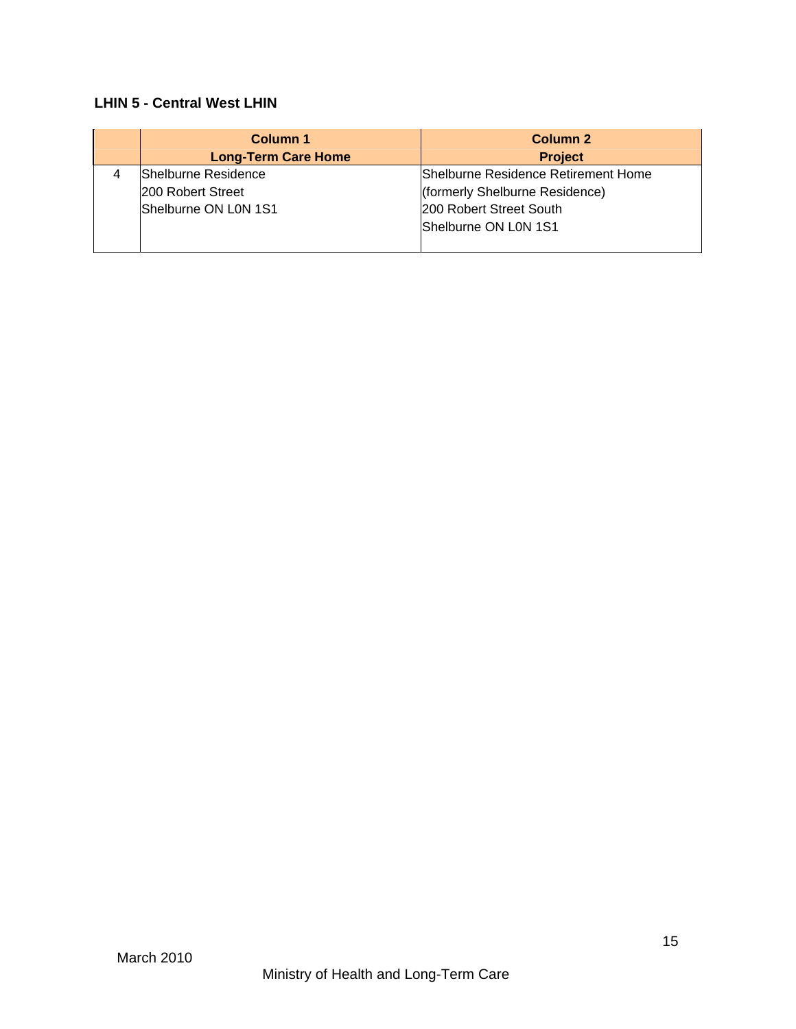### **LHIN 5 - Central West LHIN**

| Column 1<br><b>Long-Term Care Home</b>                                  | Column 2<br><b>Project</b>                                                                                                       |
|-------------------------------------------------------------------------|----------------------------------------------------------------------------------------------------------------------------------|
| <b>Shelburne Residence</b><br>200 Robert Street<br>Shelburne ON L0N 1S1 | <b>IShelburne Residence Retirement Home</b><br>(formerly Shelburne Residence)<br>200 Robert Street South<br>Shelburne ON L0N 1S1 |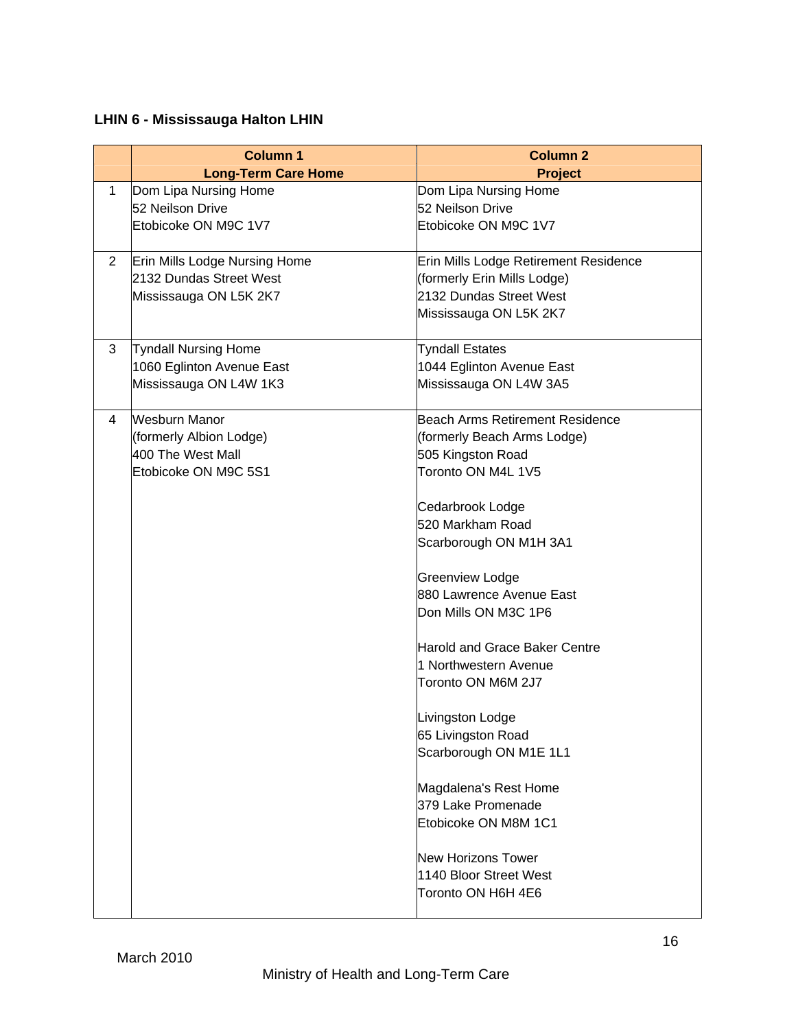## **LHIN 6 - Mississauga Halton LHIN**

|                | <b>Column 1</b>                      | <b>Column 2</b>                             |
|----------------|--------------------------------------|---------------------------------------------|
|                | <b>Long-Term Care Home</b>           | <b>Project</b>                              |
| 1              | Dom Lipa Nursing Home                | Dom Lipa Nursing Home                       |
|                | 52 Neilson Drive                     | 52 Neilson Drive                            |
|                | Etobicoke ON M9C 1V7                 | Etobicoke ON M9C 1V7                        |
|                |                                      |                                             |
| $\overline{2}$ | <b>Erin Mills Lodge Nursing Home</b> | Erin Mills Lodge Retirement Residence       |
|                | 2132 Dundas Street West              | (formerly Erin Mills Lodge)                 |
|                | Mississauga ON L5K 2K7               | 2132 Dundas Street West                     |
|                |                                      | Mississauga ON L5K 2K7                      |
| 3              | <b>Tyndall Nursing Home</b>          | <b>Tyndall Estates</b>                      |
|                | 1060 Eglinton Avenue East            | 1044 Eglinton Avenue East                   |
|                | Mississauga ON L4W 1K3               | Mississauga ON L4W 3A5                      |
| 4              | Wesburn Manor                        | <b>Beach Arms Retirement Residence</b>      |
|                | (formerly Albion Lodge)              | (formerly Beach Arms Lodge)                 |
|                | 400 The West Mall                    | 505 Kingston Road                           |
|                | Etobicoke ON M9C 5S1                 | Toronto ON M4L 1V5                          |
|                |                                      |                                             |
|                |                                      | Cedarbrook Lodge                            |
|                |                                      | 520 Markham Road                            |
|                |                                      | Scarborough ON M1H 3A1                      |
|                |                                      | <b>Greenview Lodge</b>                      |
|                |                                      | 880 Lawrence Avenue East                    |
|                |                                      | Don Mills ON M3C 1P6                        |
|                |                                      |                                             |
|                |                                      | Harold and Grace Baker Centre               |
|                |                                      | 1 Northwestern Avenue                       |
|                |                                      | Toronto ON M6M 2J7                          |
|                |                                      | Livingston Lodge                            |
|                |                                      | 65 Livingston Road                          |
|                |                                      | Scarborough ON M1E 1L1                      |
|                |                                      |                                             |
|                |                                      | Magdalena's Rest Home<br>379 Lake Promenade |
|                |                                      | Etobicoke ON M8M 1C1                        |
|                |                                      |                                             |
|                |                                      | <b>New Horizons Tower</b>                   |
|                |                                      | 1140 Bloor Street West                      |
|                |                                      | Toronto ON H6H 4E6                          |
|                |                                      |                                             |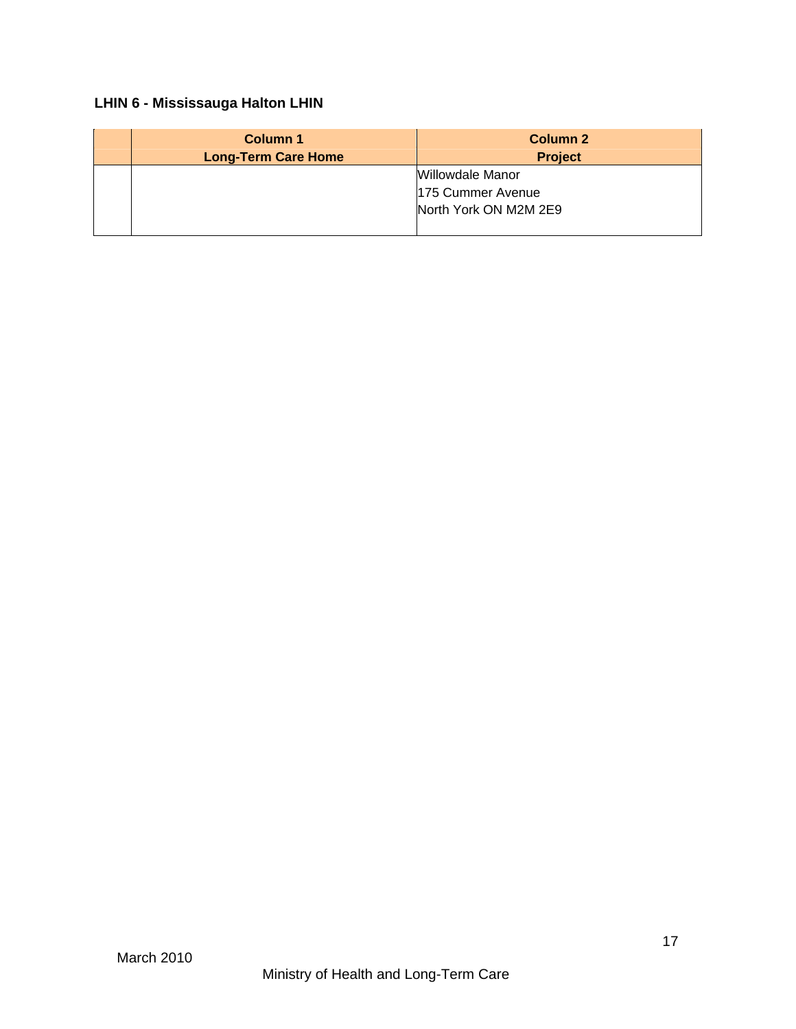## **LHIN 6 - Mississauga Halton LHIN**

| <b>Column 1</b><br><b>Long-Term Care Home</b> | <b>Column 2</b><br><b>Project</b>                              |
|-----------------------------------------------|----------------------------------------------------------------|
|                                               | Willowdale Manor<br>175 Cummer Avenue<br>North York ON M2M 2E9 |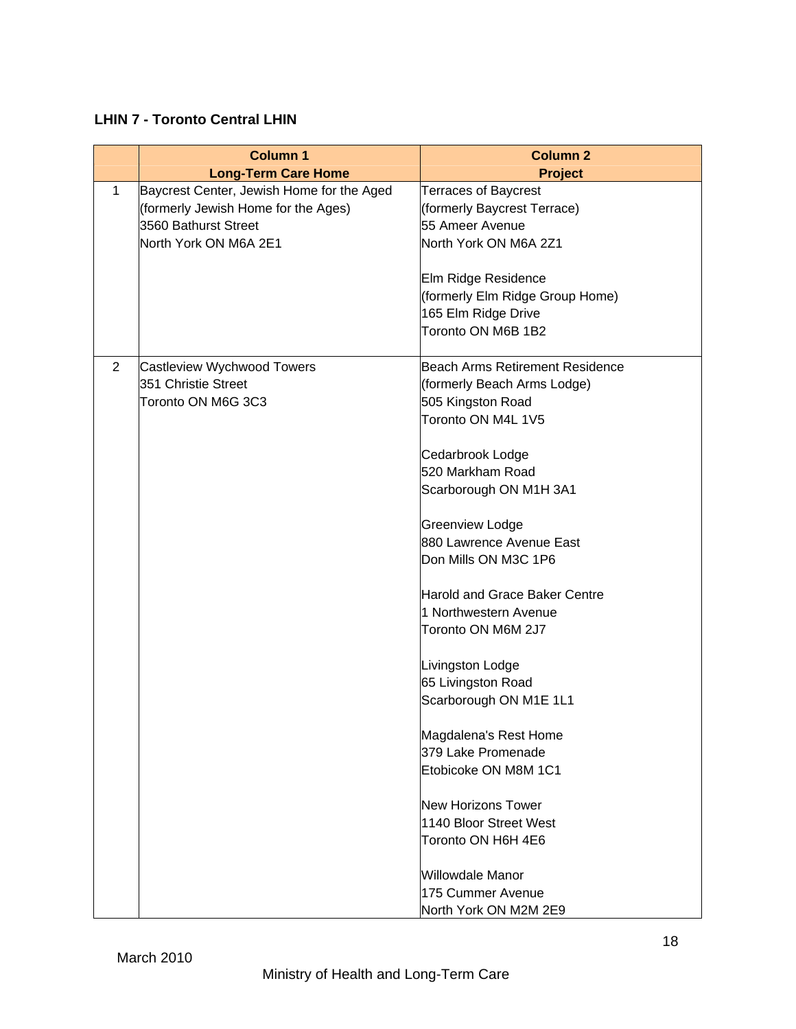|                | <b>Column 1</b>                           | <b>Column 2</b>                        |
|----------------|-------------------------------------------|----------------------------------------|
|                | <b>Long-Term Care Home</b>                | <b>Project</b>                         |
| 1              | Baycrest Center, Jewish Home for the Aged | <b>Terraces of Baycrest</b>            |
|                | (formerly Jewish Home for the Ages)       | (formerly Baycrest Terrace)            |
|                | 3560 Bathurst Street                      | 55 Ameer Avenue                        |
|                | North York ON M6A 2E1                     | North York ON M6A 2Z1                  |
|                |                                           |                                        |
|                |                                           | Elm Ridge Residence                    |
|                |                                           | (formerly Elm Ridge Group Home)        |
|                |                                           | 165 Elm Ridge Drive                    |
|                |                                           | Toronto ON M6B 1B2                     |
|                |                                           |                                        |
| $\overline{2}$ | Castleview Wychwood Towers                | <b>Beach Arms Retirement Residence</b> |
|                | 351 Christie Street                       | (formerly Beach Arms Lodge)            |
|                | Toronto ON M6G 3C3                        | 505 Kingston Road                      |
|                |                                           | Toronto ON M4L 1V5                     |
|                |                                           |                                        |
|                |                                           | Cedarbrook Lodge                       |
|                |                                           | 520 Markham Road                       |
|                |                                           | Scarborough ON M1H 3A1                 |
|                |                                           |                                        |
|                |                                           | Greenview Lodge                        |
|                |                                           | 880 Lawrence Avenue East               |
|                |                                           | Don Mills ON M3C 1P6                   |
|                |                                           |                                        |
|                |                                           | <b>Harold and Grace Baker Centre</b>   |
|                |                                           | 1 Northwestern Avenue                  |
|                |                                           | Toronto ON M6M 2J7                     |
|                |                                           |                                        |
|                |                                           | Livingston Lodge<br>65 Livingston Road |
|                |                                           |                                        |
|                |                                           | Scarborough ON M1E 1L1                 |
|                |                                           | Magdalena's Rest Home                  |
|                |                                           | 379 Lake Promenade                     |
|                |                                           | Etobicoke ON M8M 1C1                   |
|                |                                           |                                        |
|                |                                           | <b>New Horizons Tower</b>              |
|                |                                           | 1140 Bloor Street West                 |
|                |                                           | Toronto ON H6H 4E6                     |
|                |                                           |                                        |
|                |                                           | Willowdale Manor                       |
|                |                                           | 175 Cummer Avenue                      |
|                |                                           | North York ON M2M 2E9                  |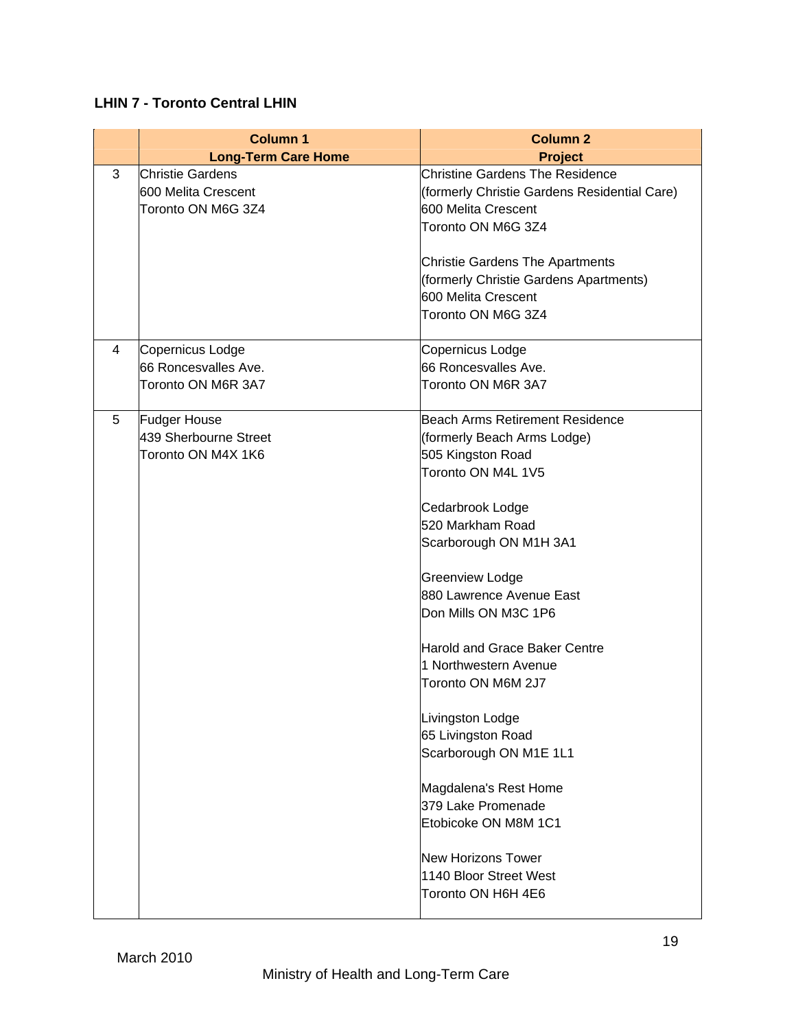|   | <b>Column 1</b><br><b>Long-Term Care Home</b>                      | <b>Column 2</b><br><b>Project</b>                                                                                                   |
|---|--------------------------------------------------------------------|-------------------------------------------------------------------------------------------------------------------------------------|
| 3 | Christie Gardens<br>600 Melita Crescent<br>Toronto ON M6G 3Z4      | <b>Christine Gardens The Residence</b><br>(formerly Christie Gardens Residential Care)<br>600 Melita Crescent<br>Toronto ON M6G 3Z4 |
|   |                                                                    | <b>Christie Gardens The Apartments</b><br>(formerly Christie Gardens Apartments)<br>600 Melita Crescent<br>Toronto ON M6G 3Z4       |
| 4 | Copernicus Lodge<br>66 Roncesvalles Ave.<br>Toronto ON M6R 3A7     | Copernicus Lodge<br>66 Roncesvalles Ave.<br>Toronto ON M6R 3A7                                                                      |
| 5 | <b>Fudger House</b><br>439 Sherbourne Street<br>Toronto ON M4X 1K6 | <b>Beach Arms Retirement Residence</b><br>(formerly Beach Arms Lodge)<br>505 Kingston Road<br>Toronto ON M4L 1V5                    |
|   |                                                                    | Cedarbrook Lodge<br>520 Markham Road<br>Scarborough ON M1H 3A1                                                                      |
|   |                                                                    | Greenview Lodge<br>880 Lawrence Avenue East<br>Don Mills ON M3C 1P6                                                                 |
|   |                                                                    | <b>Harold and Grace Baker Centre</b><br>1 Northwestern Avenue<br>Toronto ON M6M 2J7                                                 |
|   |                                                                    | Livingston Lodge<br>65 Livingston Road<br>Scarborough ON M1E 1L1                                                                    |
|   |                                                                    | Magdalena's Rest Home<br>379 Lake Promenade<br>Etobicoke ON M8M 1C1                                                                 |
|   |                                                                    | <b>New Horizons Tower</b><br>1140 Bloor Street West<br>Toronto ON H6H 4E6                                                           |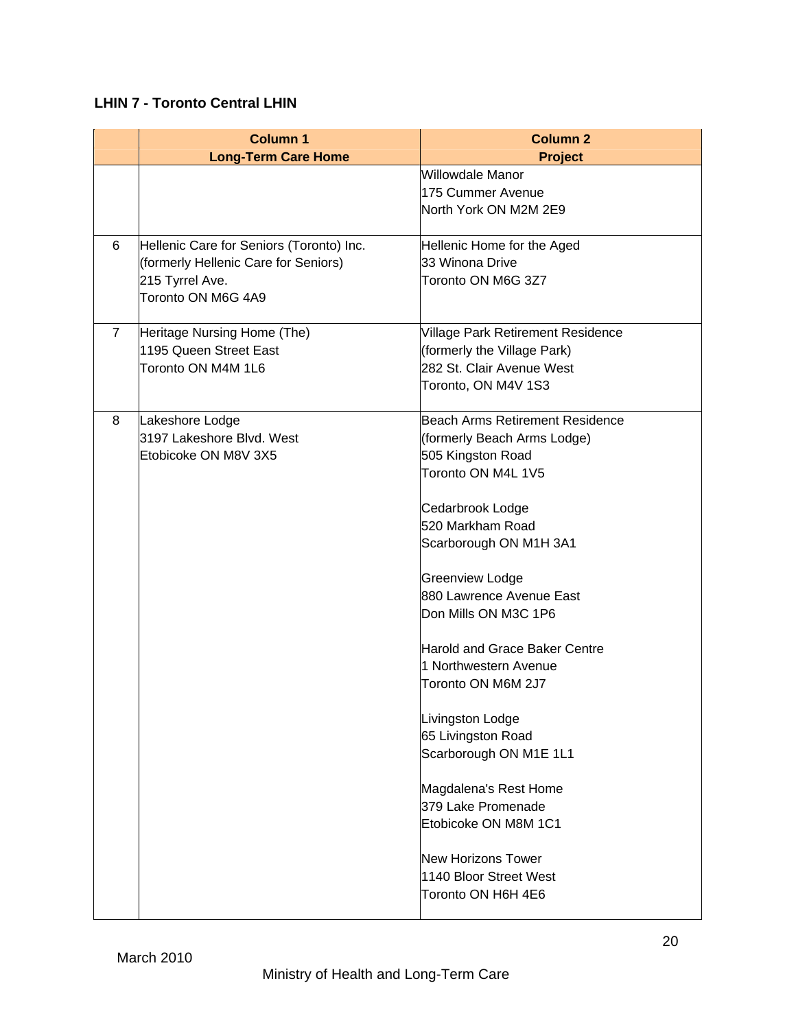|                | <b>Column 1</b><br><b>Long-Term Care Home</b>                                                                             | <b>Column 2</b><br><b>Project</b>                                                                                                                                                                                                                                                                                                                                                                                                                                                                                                                                        |
|----------------|---------------------------------------------------------------------------------------------------------------------------|--------------------------------------------------------------------------------------------------------------------------------------------------------------------------------------------------------------------------------------------------------------------------------------------------------------------------------------------------------------------------------------------------------------------------------------------------------------------------------------------------------------------------------------------------------------------------|
|                |                                                                                                                           | <b>Willowdale Manor</b><br>175 Cummer Avenue<br>North York ON M2M 2E9                                                                                                                                                                                                                                                                                                                                                                                                                                                                                                    |
| 6              | Hellenic Care for Seniors (Toronto) Inc.<br>(formerly Hellenic Care for Seniors)<br>215 Tyrrel Ave.<br>Toronto ON M6G 4A9 | Hellenic Home for the Aged<br>33 Winona Drive<br>Toronto ON M6G 3Z7                                                                                                                                                                                                                                                                                                                                                                                                                                                                                                      |
| $\overline{7}$ | Heritage Nursing Home (The)<br>1195 Queen Street East<br>Toronto ON M4M 1L6                                               | Village Park Retirement Residence<br>(formerly the Village Park)<br>282 St. Clair Avenue West<br>Toronto, ON M4V 1S3                                                                                                                                                                                                                                                                                                                                                                                                                                                     |
| 8              | Lakeshore Lodge<br>3197 Lakeshore Blvd. West<br>Etobicoke ON M8V 3X5                                                      | <b>Beach Arms Retirement Residence</b><br>(formerly Beach Arms Lodge)<br>505 Kingston Road<br>Toronto ON M4L 1V5<br>Cedarbrook Lodge<br>520 Markham Road<br>Scarborough ON M1H 3A1<br>Greenview Lodge<br>880 Lawrence Avenue East<br>Don Mills ON M3C 1P6<br><b>Harold and Grace Baker Centre</b><br>1 Northwestern Avenue<br>Toronto ON M6M 2J7<br>Livingston Lodge<br>65 Livingston Road<br>Scarborough ON M1E 1L1<br>Magdalena's Rest Home<br>379 Lake Promenade<br>Etobicoke ON M8M 1C1<br><b>New Horizons Tower</b><br>1140 Bloor Street West<br>Toronto ON H6H 4E6 |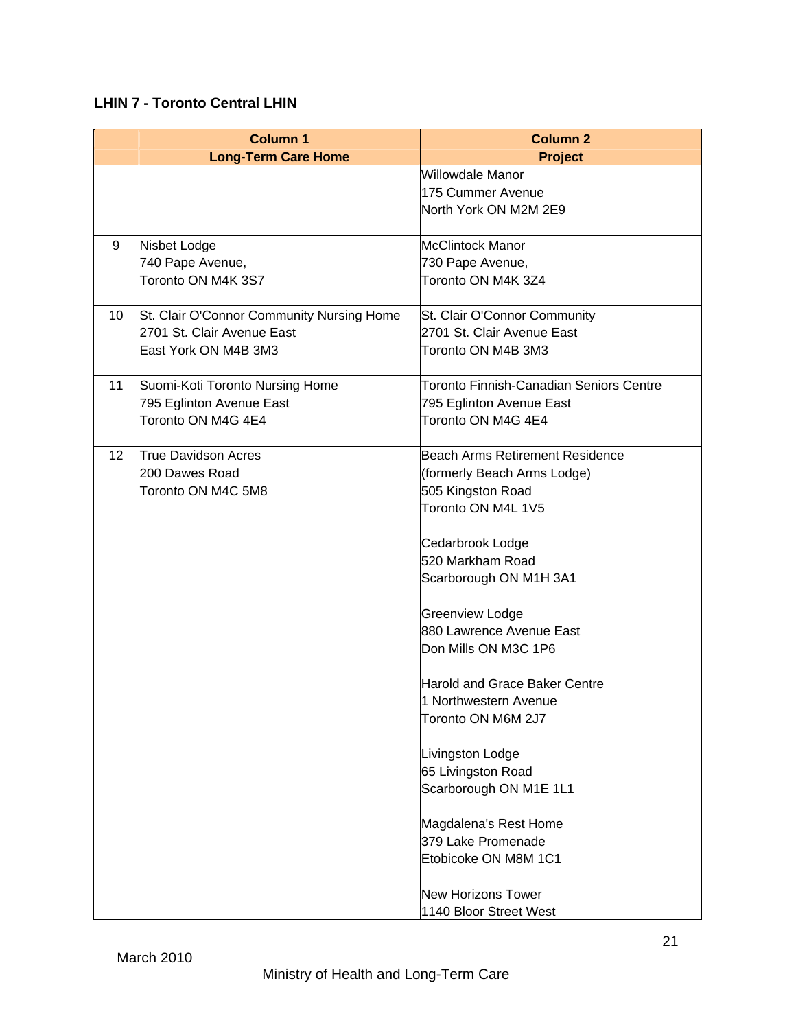|                 | <b>Column 1</b><br><b>Long-Term Care Home</b> | <b>Column 2</b><br><b>Project</b>       |
|-----------------|-----------------------------------------------|-----------------------------------------|
|                 |                                               | <b>Willowdale Manor</b>                 |
|                 |                                               | 175 Cummer Avenue                       |
|                 |                                               | North York ON M2M 2E9                   |
|                 |                                               |                                         |
| 9               | Nisbet Lodge                                  | <b>McClintock Manor</b>                 |
|                 | 740 Pape Avenue,                              | 730 Pape Avenue,                        |
|                 | Toronto ON M4K 3S7                            | Toronto ON M4K 3Z4                      |
| 10              | St. Clair O'Connor Community Nursing Home     | St. Clair O'Connor Community            |
|                 | 2701 St. Clair Avenue East                    | 2701 St. Clair Avenue East              |
|                 | East York ON M4B 3M3                          | Toronto ON M4B 3M3                      |
|                 |                                               |                                         |
| 11              | Suomi-Koti Toronto Nursing Home               | Toronto Finnish-Canadian Seniors Centre |
|                 | 795 Eglinton Avenue East                      | 795 Eglinton Avenue East                |
|                 | Toronto ON M4G 4E4                            | Toronto ON M4G 4E4                      |
| 12 <sup>2</sup> | <b>True Davidson Acres</b>                    | <b>Beach Arms Retirement Residence</b>  |
|                 | 200 Dawes Road                                | (formerly Beach Arms Lodge)             |
|                 | Toronto ON M4C 5M8                            | 505 Kingston Road                       |
|                 |                                               | Toronto ON M4L 1V5                      |
|                 |                                               |                                         |
|                 |                                               | Cedarbrook Lodge                        |
|                 |                                               | 520 Markham Road                        |
|                 |                                               | Scarborough ON M1H 3A1                  |
|                 |                                               | Greenview Lodge                         |
|                 |                                               | 880 Lawrence Avenue East                |
|                 |                                               | Don Mills ON M3C 1P6                    |
|                 |                                               |                                         |
|                 |                                               | <b>Harold and Grace Baker Centre</b>    |
|                 |                                               | 1 Northwestern Avenue                   |
|                 |                                               | Toronto ON M6M 2J7                      |
|                 |                                               | Livingston Lodge                        |
|                 |                                               | 65 Livingston Road                      |
|                 |                                               | Scarborough ON M1E 1L1                  |
|                 |                                               | Magdalena's Rest Home                   |
|                 |                                               | 379 Lake Promenade                      |
|                 |                                               | Etobicoke ON M8M 1C1                    |
|                 |                                               |                                         |
|                 |                                               | <b>New Horizons Tower</b>               |
|                 |                                               | 1140 Bloor Street West                  |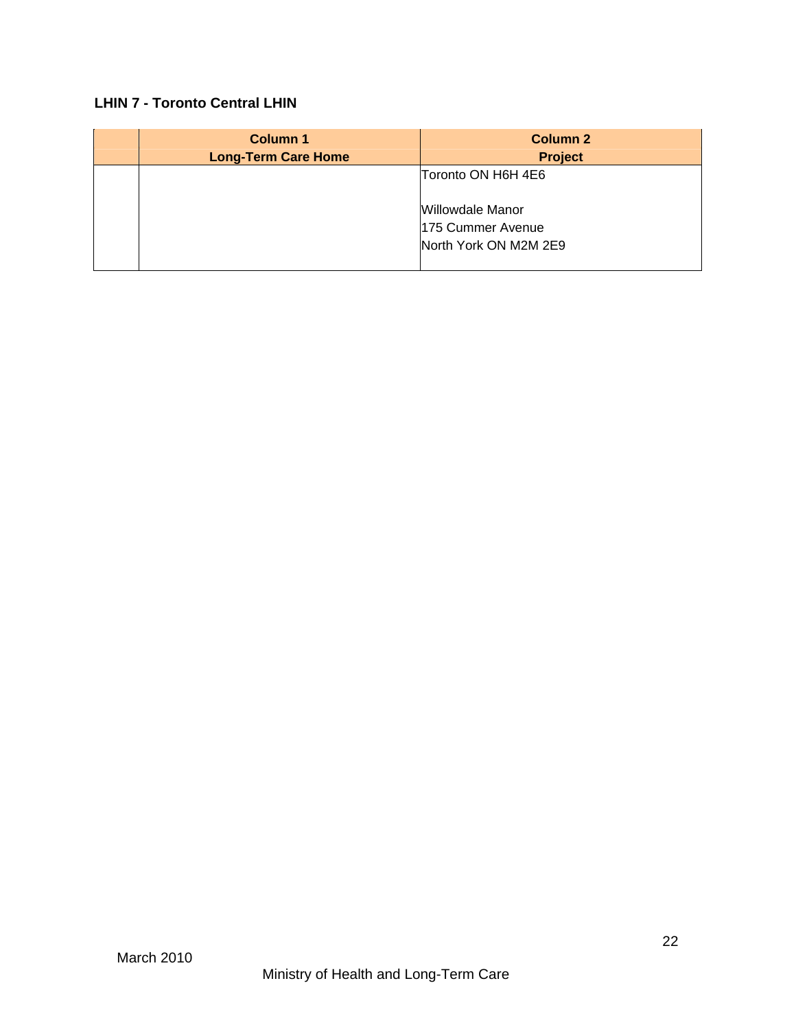| <b>Column 1</b><br><b>Long-Term Care Home</b> | Column 2<br><b>Project</b>                 |
|-----------------------------------------------|--------------------------------------------|
|                                               | Toronto ON H6H 4E6<br>Willowdale Manor     |
|                                               | 175 Cummer Avenue<br>North York ON M2M 2E9 |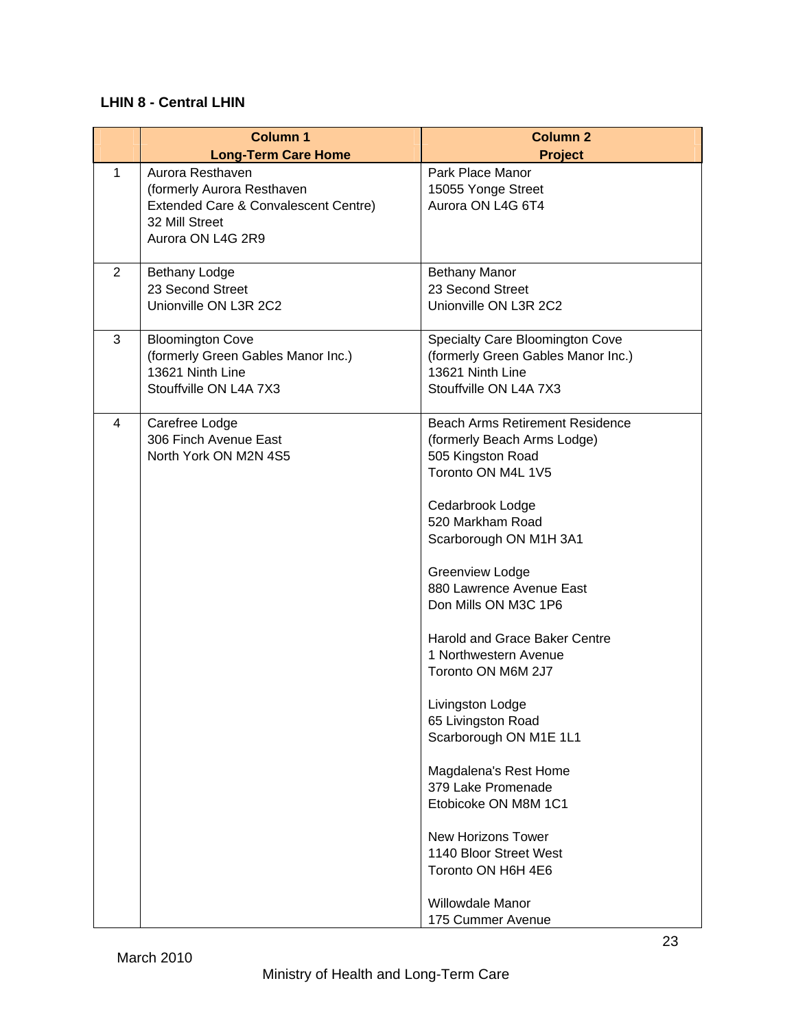#### **LHIN 8 - Central LHIN**

|                | <b>Column 1</b>                      | <b>Column 2</b>                        |
|----------------|--------------------------------------|----------------------------------------|
|                | <b>Long-Term Care Home</b>           | <b>Project</b>                         |
| $\mathbf 1$    | Aurora Resthaven                     | Park Place Manor                       |
|                | (formerly Aurora Resthaven           | 15055 Yonge Street                     |
|                | Extended Care & Convalescent Centre) | Aurora ON L4G 6T4                      |
|                | 32 Mill Street                       |                                        |
|                | Aurora ON L4G 2R9                    |                                        |
| $\overline{2}$ | <b>Bethany Lodge</b>                 | <b>Bethany Manor</b>                   |
|                | 23 Second Street                     | 23 Second Street                       |
|                | Unionville ON L3R 2C2                | Unionville ON L3R 2C2                  |
| 3              | <b>Bloomington Cove</b>              | Specialty Care Bloomington Cove        |
|                | (formerly Green Gables Manor Inc.)   | (formerly Green Gables Manor Inc.)     |
|                | 13621 Ninth Line                     | 13621 Ninth Line                       |
|                | Stouffville ON L4A 7X3               | Stouffville ON L4A 7X3                 |
| 4              | Carefree Lodge                       | <b>Beach Arms Retirement Residence</b> |
|                | 306 Finch Avenue East                | (formerly Beach Arms Lodge)            |
|                | North York ON M2N 4S5                | 505 Kingston Road                      |
|                |                                      | Toronto ON M4L 1V5                     |
|                |                                      | Cedarbrook Lodge                       |
|                |                                      | 520 Markham Road                       |
|                |                                      | Scarborough ON M1H 3A1                 |
|                |                                      | <b>Greenview Lodge</b>                 |
|                |                                      | 880 Lawrence Avenue East               |
|                |                                      | Don Mills ON M3C 1P6                   |
|                |                                      | Harold and Grace Baker Centre          |
|                |                                      | 1 Northwestern Avenue                  |
|                |                                      | Toronto ON M6M 2J7                     |
|                |                                      | Livingston Lodge                       |
|                |                                      | 65 Livingston Road                     |
|                |                                      | Scarborough ON M1E 1L1                 |
|                |                                      | Magdalena's Rest Home                  |
|                |                                      | 379 Lake Promenade                     |
|                |                                      | Etobicoke ON M8M 1C1                   |
|                |                                      | <b>New Horizons Tower</b>              |
|                |                                      | 1140 Bloor Street West                 |
|                |                                      | Toronto ON H6H 4E6                     |
|                |                                      | <b>Willowdale Manor</b>                |
|                |                                      | 175 Cummer Avenue                      |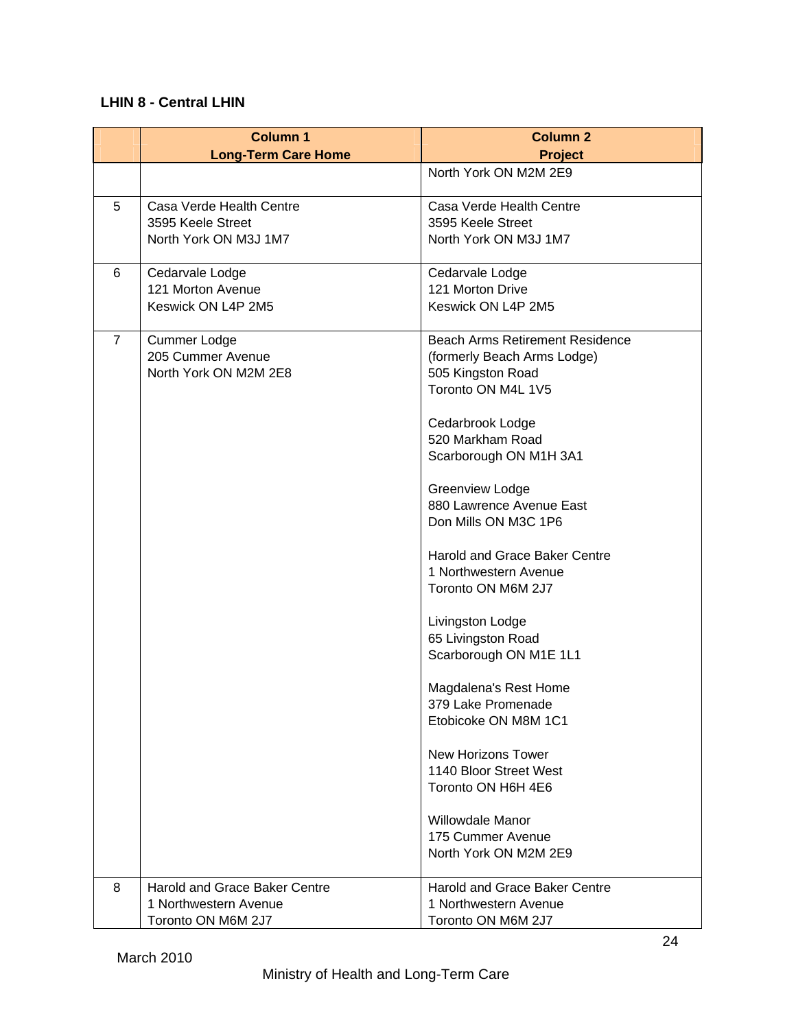#### **LHIN 8 - Central LHIN**

|                | <b>Column 1</b>               | <b>Column 2</b>                        |
|----------------|-------------------------------|----------------------------------------|
|                | <b>Long-Term Care Home</b>    | <b>Project</b>                         |
|                |                               | North York ON M2M 2E9                  |
| 5              | Casa Verde Health Centre      | Casa Verde Health Centre               |
|                | 3595 Keele Street             | 3595 Keele Street                      |
|                | North York ON M3J 1M7         | North York ON M3J 1M7                  |
| 6              | Cedarvale Lodge               | Cedarvale Lodge                        |
|                | 121 Morton Avenue             | 121 Morton Drive                       |
|                | Keswick ON L4P 2M5            | Keswick ON L4P 2M5                     |
| $\overline{7}$ | <b>Cummer Lodge</b>           | <b>Beach Arms Retirement Residence</b> |
|                | 205 Cummer Avenue             | (formerly Beach Arms Lodge)            |
|                | North York ON M2M 2E8         | 505 Kingston Road                      |
|                |                               | Toronto ON M4L 1V5                     |
|                |                               | Cedarbrook Lodge                       |
|                |                               | 520 Markham Road                       |
|                |                               | Scarborough ON M1H 3A1                 |
|                |                               | <b>Greenview Lodge</b>                 |
|                |                               | 880 Lawrence Avenue East               |
|                |                               | Don Mills ON M3C 1P6                   |
|                |                               | Harold and Grace Baker Centre          |
|                |                               | 1 Northwestern Avenue                  |
|                |                               | Toronto ON M6M 2J7                     |
|                |                               | Livingston Lodge                       |
|                |                               | 65 Livingston Road                     |
|                |                               | Scarborough ON M1E 1L1                 |
|                |                               | Magdalena's Rest Home                  |
|                |                               | 379 Lake Promenade                     |
|                |                               | Etobicoke ON M8M 1C1                   |
|                |                               | New Horizons Tower                     |
|                |                               | 1140 Bloor Street West                 |
|                |                               | Toronto ON H6H 4E6                     |
|                |                               | Willowdale Manor                       |
|                |                               | 175 Cummer Avenue                      |
|                |                               | North York ON M2M 2E9                  |
| 8              | Harold and Grace Baker Centre | Harold and Grace Baker Centre          |
|                | 1 Northwestern Avenue         | 1 Northwestern Avenue                  |
|                | Toronto ON M6M 2J7            | Toronto ON M6M 2J7                     |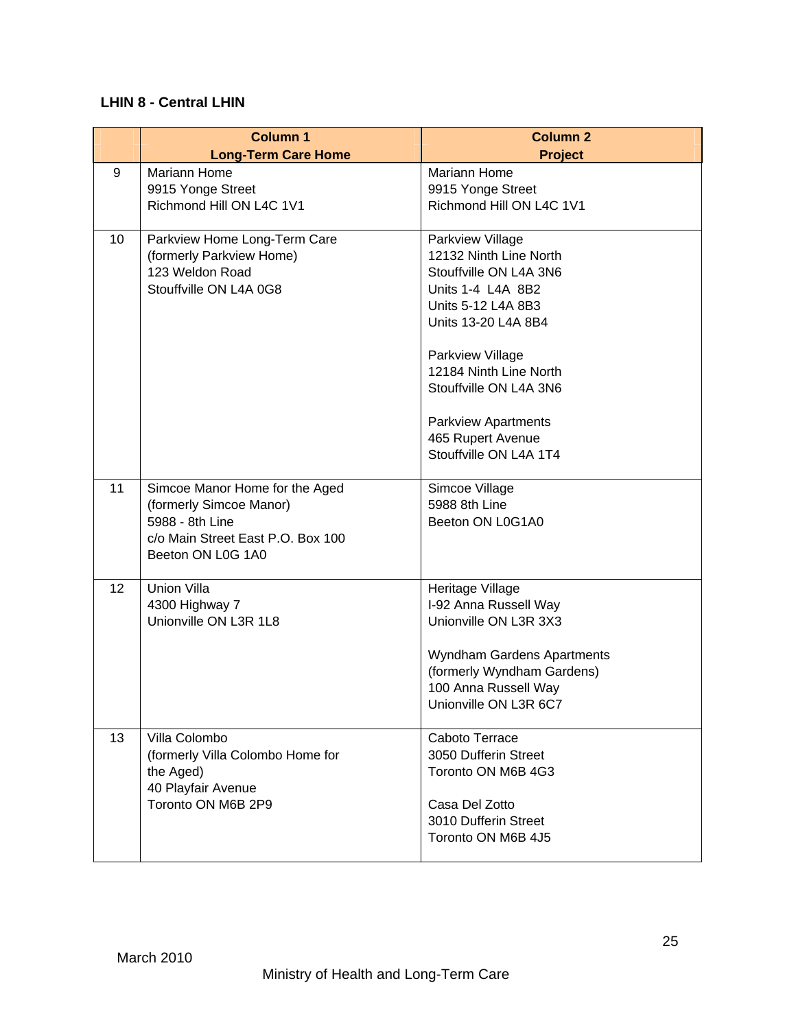#### **LHIN 8 - Central LHIN**

|    | <b>Column 1</b><br><b>Long-Term Care Home</b>                                                                                          | <b>Column 2</b><br><b>Project</b>                                                                                                                                                                                                                                                           |
|----|----------------------------------------------------------------------------------------------------------------------------------------|---------------------------------------------------------------------------------------------------------------------------------------------------------------------------------------------------------------------------------------------------------------------------------------------|
| 9  | Mariann Home<br>9915 Yonge Street<br>Richmond Hill ON L4C 1V1                                                                          | Mariann Home<br>9915 Yonge Street<br>Richmond Hill ON L4C 1V1                                                                                                                                                                                                                               |
| 10 | Parkview Home Long-Term Care<br>(formerly Parkview Home)<br>123 Weldon Road<br>Stouffville ON L4A 0G8                                  | Parkview Village<br>12132 Ninth Line North<br>Stouffville ON L4A 3N6<br>Units 1-4 L4A 8B2<br>Units 5-12 L4A 8B3<br>Units 13-20 L4A 8B4<br>Parkview Village<br>12184 Ninth Line North<br>Stouffville ON L4A 3N6<br><b>Parkview Apartments</b><br>465 Rupert Avenue<br>Stouffville ON L4A 1T4 |
| 11 | Simcoe Manor Home for the Aged<br>(formerly Simcoe Manor)<br>5988 - 8th Line<br>c/o Main Street East P.O. Box 100<br>Beeton ON L0G 1A0 | Simcoe Village<br>5988 8th Line<br>Beeton ON L0G1A0                                                                                                                                                                                                                                         |
| 12 | Union Villa<br>4300 Highway 7<br>Unionville ON L3R 1L8                                                                                 | Heritage Village<br>I-92 Anna Russell Way<br>Unionville ON L3R 3X3<br>Wyndham Gardens Apartments<br>(formerly Wyndham Gardens)<br>100 Anna Russell Way<br>Unionville ON L3R 6C7                                                                                                             |
| 13 | Villa Colombo<br>(formerly Villa Colombo Home for<br>the Aged)<br>40 Playfair Avenue<br>Toronto ON M6B 2P9                             | Caboto Terrace<br>3050 Dufferin Street<br>Toronto ON M6B 4G3<br>Casa Del Zotto<br>3010 Dufferin Street<br>Toronto ON M6B 4J5                                                                                                                                                                |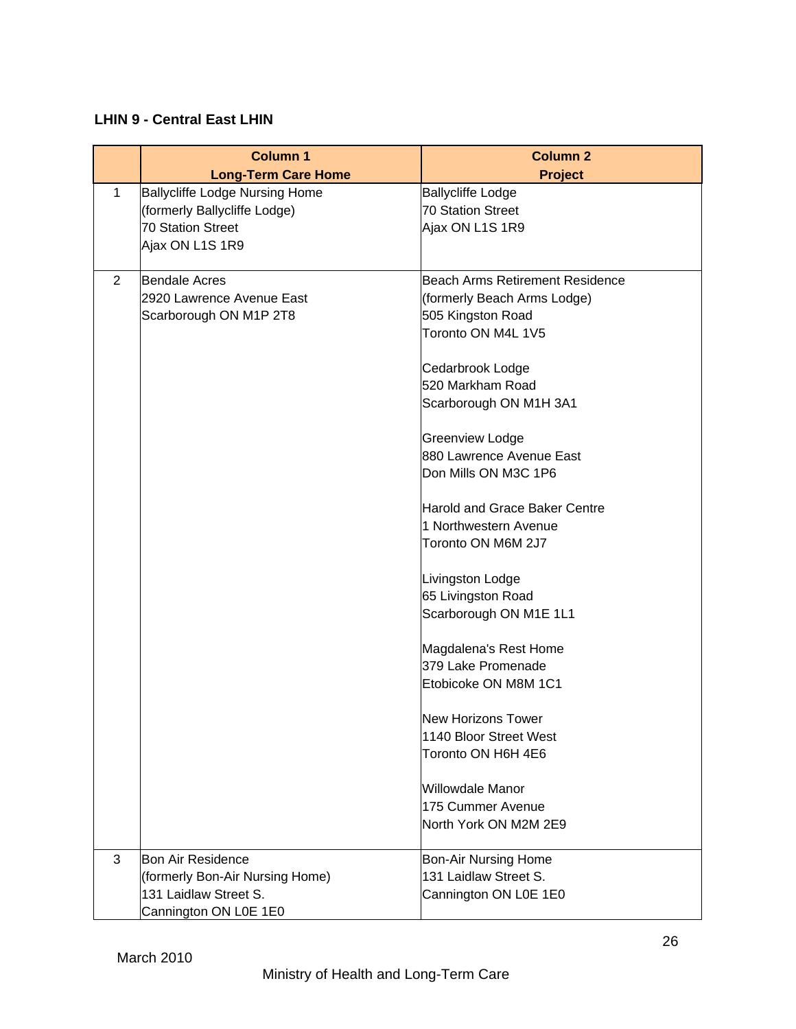|   | <b>Column 1</b>                       | <b>Column 2</b>                 |
|---|---------------------------------------|---------------------------------|
|   | <b>Long-Term Care Home</b>            | <b>Project</b>                  |
| 1 | <b>Ballycliffe Lodge Nursing Home</b> | <b>Ballycliffe Lodge</b>        |
|   | (formerly Ballycliffe Lodge)          | <b>70 Station Street</b>        |
|   | <b>70 Station Street</b>              | Ajax ON L1S 1R9                 |
|   | Ajax ON L1S 1R9                       |                                 |
| 2 | <b>Bendale Acres</b>                  | Beach Arms Retirement Residence |
|   | 2920 Lawrence Avenue East             | (formerly Beach Arms Lodge)     |
|   | Scarborough ON M1P 2T8                | 505 Kingston Road               |
|   |                                       | Toronto ON M4L 1V5              |
|   |                                       | Cedarbrook Lodge                |
|   |                                       | 520 Markham Road                |
|   |                                       | Scarborough ON M1H 3A1          |
|   |                                       | <b>Greenview Lodge</b>          |
|   |                                       | 880 Lawrence Avenue East        |
|   |                                       | Don Mills ON M3C 1P6            |
|   |                                       |                                 |
|   |                                       | Harold and Grace Baker Centre   |
|   |                                       | 1 Northwestern Avenue           |
|   |                                       | Toronto ON M6M 2J7              |
|   |                                       | Livingston Lodge                |
|   |                                       | 65 Livingston Road              |
|   |                                       | Scarborough ON M1E 1L1          |
|   |                                       | Magdalena's Rest Home           |
|   |                                       | 379 Lake Promenade              |
|   |                                       | Etobicoke ON M8M 1C1            |
|   |                                       | New Horizons Tower              |
|   |                                       | 1140 Bloor Street West          |
|   |                                       | Toronto ON H6H 4E6              |
|   |                                       | Willowdale Manor                |
|   |                                       | 175 Cummer Avenue               |
|   |                                       | North York ON M2M 2E9           |
| 3 | <b>Bon Air Residence</b>              | <b>Bon-Air Nursing Home</b>     |
|   | (formerly Bon-Air Nursing Home)       | 131 Laidlaw Street S.           |
|   | 131 Laidlaw Street S.                 | Cannington ON L0E 1E0           |
|   | Cannington ON L0E 1E0                 |                                 |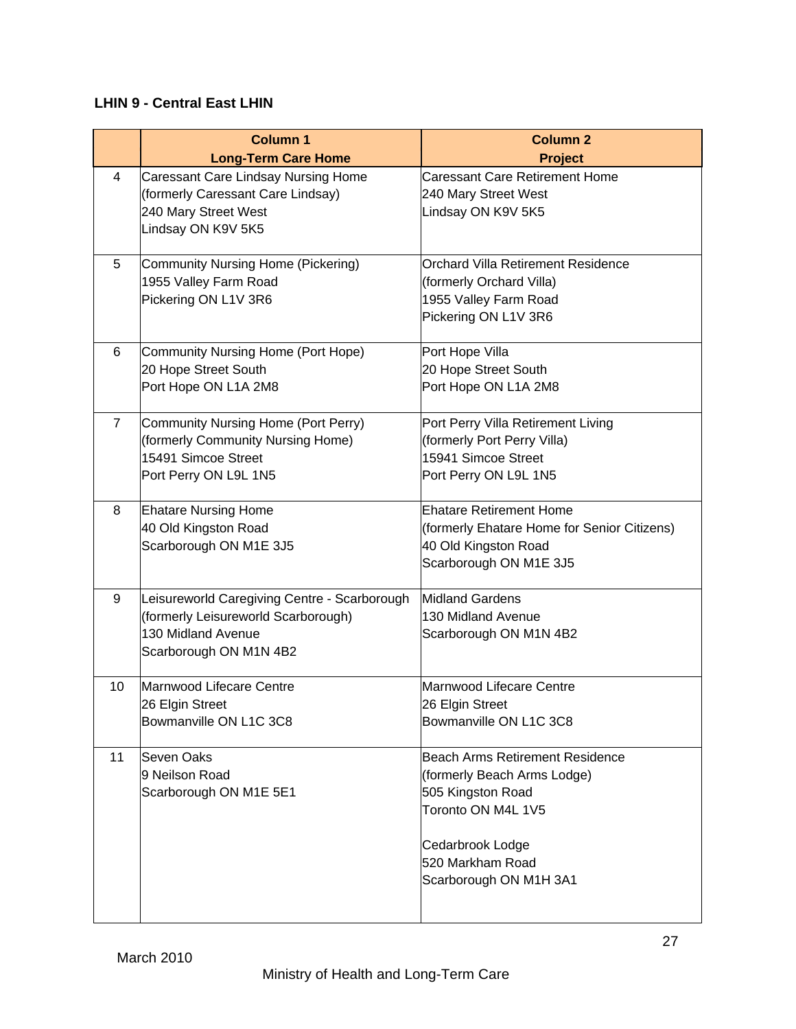|                | <b>Column 1</b><br><b>Long-Term Care Home</b>                                                                                       | <b>Column 2</b><br><b>Project</b>                                                                                                                                                  |
|----------------|-------------------------------------------------------------------------------------------------------------------------------------|------------------------------------------------------------------------------------------------------------------------------------------------------------------------------------|
| 4              | <b>Caressant Care Lindsay Nursing Home</b><br>(formerly Caressant Care Lindsay)<br>240 Mary Street West<br>Lindsay ON K9V 5K5       | Caressant Care Retirement Home<br>240 Mary Street West<br>Lindsay ON K9V 5K5                                                                                                       |
| 5              | Community Nursing Home (Pickering)<br>1955 Valley Farm Road<br>Pickering ON L1V 3R6                                                 | <b>Orchard Villa Retirement Residence</b><br>(formerly Orchard Villa)<br>1955 Valley Farm Road<br>Pickering ON L1V 3R6                                                             |
| 6              | Community Nursing Home (Port Hope)<br>20 Hope Street South<br>Port Hope ON L1A 2M8                                                  | Port Hope Villa<br>20 Hope Street South<br>Port Hope ON L1A 2M8                                                                                                                    |
| $\overline{7}$ | Community Nursing Home (Port Perry)<br>(formerly Community Nursing Home)<br>15491 Simcoe Street<br>Port Perry ON L9L 1N5            | Port Perry Villa Retirement Living<br>(formerly Port Perry Villa)<br>15941 Simcoe Street<br>Port Perry ON L9L 1N5                                                                  |
| 8              | <b>Ehatare Nursing Home</b><br>40 Old Kingston Road<br>Scarborough ON M1E 3J5                                                       | <b>Ehatare Retirement Home</b><br>(formerly Ehatare Home for Senior Citizens)<br>40 Old Kingston Road<br>Scarborough ON M1E 3J5                                                    |
| 9              | Leisureworld Caregiving Centre - Scarborough<br>(formerly Leisureworld Scarborough)<br>130 Midland Avenue<br>Scarborough ON M1N 4B2 | Midland Gardens<br>130 Midland Avenue<br>Scarborough ON M1N 4B2                                                                                                                    |
| 10             | Marnwood Lifecare Centre<br>26 Elgin Street<br>Bowmanville ON L1C 3C8                                                               | Marnwood Lifecare Centre<br>26 Elgin Street<br>Bowmanville ON L1C 3C8                                                                                                              |
| 11             | <b>Seven Oaks</b><br>9 Neilson Road<br>Scarborough ON M1E 5E1                                                                       | <b>Beach Arms Retirement Residence</b><br>(formerly Beach Arms Lodge)<br>505 Kingston Road<br>Toronto ON M4L 1V5<br>Cedarbrook Lodge<br>520 Markham Road<br>Scarborough ON M1H 3A1 |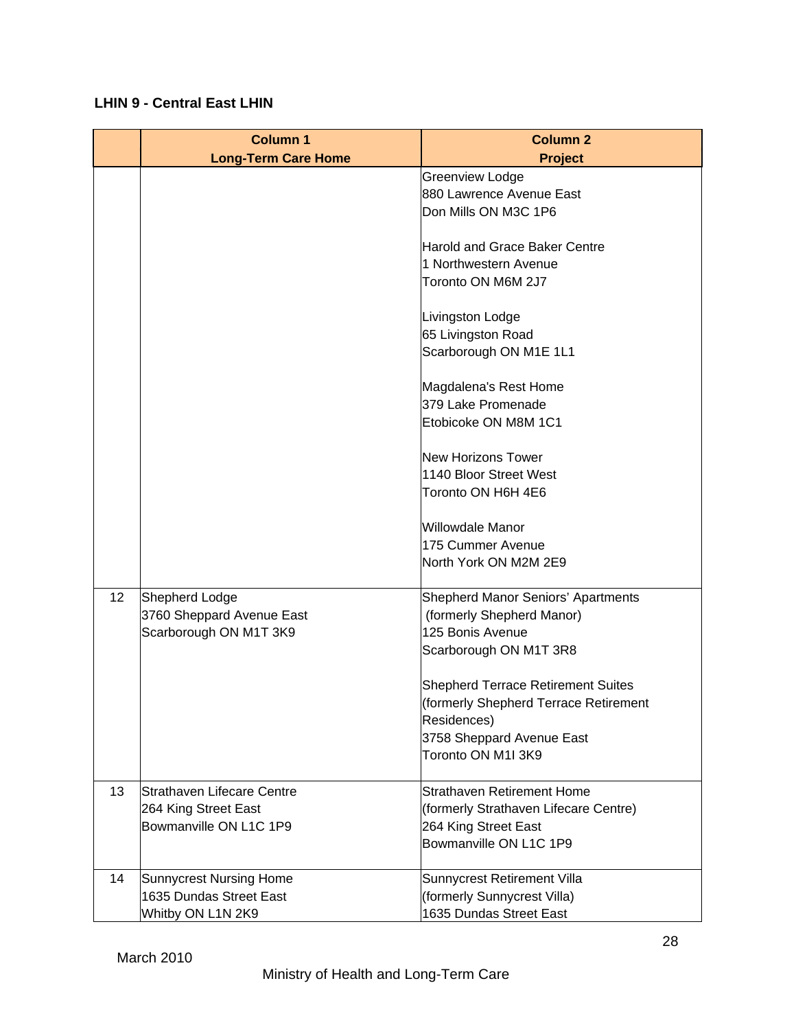|    | <b>Column 1</b>                                                                     | <b>Column 2</b>                                                                                                                                      |
|----|-------------------------------------------------------------------------------------|------------------------------------------------------------------------------------------------------------------------------------------------------|
|    | <b>Long-Term Care Home</b>                                                          | <b>Project</b>                                                                                                                                       |
|    |                                                                                     | Greenview Lodge<br>880 Lawrence Avenue East<br>Don Mills ON M3C 1P6                                                                                  |
|    |                                                                                     | <b>Harold and Grace Baker Centre</b><br>1 Northwestern Avenue<br>Toronto ON M6M 2J7                                                                  |
|    |                                                                                     | Livingston Lodge<br>65 Livingston Road<br>Scarborough ON M1E 1L1                                                                                     |
|    |                                                                                     | Magdalena's Rest Home<br>379 Lake Promenade<br>Etobicoke ON M8M 1C1                                                                                  |
|    |                                                                                     | <b>New Horizons Tower</b><br>1140 Bloor Street West<br>Toronto ON H6H 4E6                                                                            |
|    |                                                                                     | <b>Willowdale Manor</b><br>175 Cummer Avenue<br>North York ON M2M 2E9                                                                                |
| 12 | Shepherd Lodge<br>3760 Sheppard Avenue East<br>Scarborough ON M1T 3K9               | <b>Shepherd Manor Seniors' Apartments</b><br>(formerly Shepherd Manor)<br>125 Bonis Avenue<br>Scarborough ON M1T 3R8                                 |
|    |                                                                                     | <b>Shepherd Terrace Retirement Suites</b><br>(formerly Shepherd Terrace Retirement<br>Residences)<br>3758 Sheppard Avenue East<br>Toronto ON M1I 3K9 |
| 13 | <b>Strathaven Lifecare Centre</b><br>264 King Street East<br>Bowmanville ON L1C 1P9 | <b>Strathaven Retirement Home</b><br>(formerly Strathaven Lifecare Centre)<br>264 King Street East<br>Bowmanville ON L1C 1P9                         |
| 14 | Sunnycrest Nursing Home<br>1635 Dundas Street East<br>Whitby ON L1N 2K9             | Sunnycrest Retirement Villa<br>(formerly Sunnycrest Villa)<br>1635 Dundas Street East                                                                |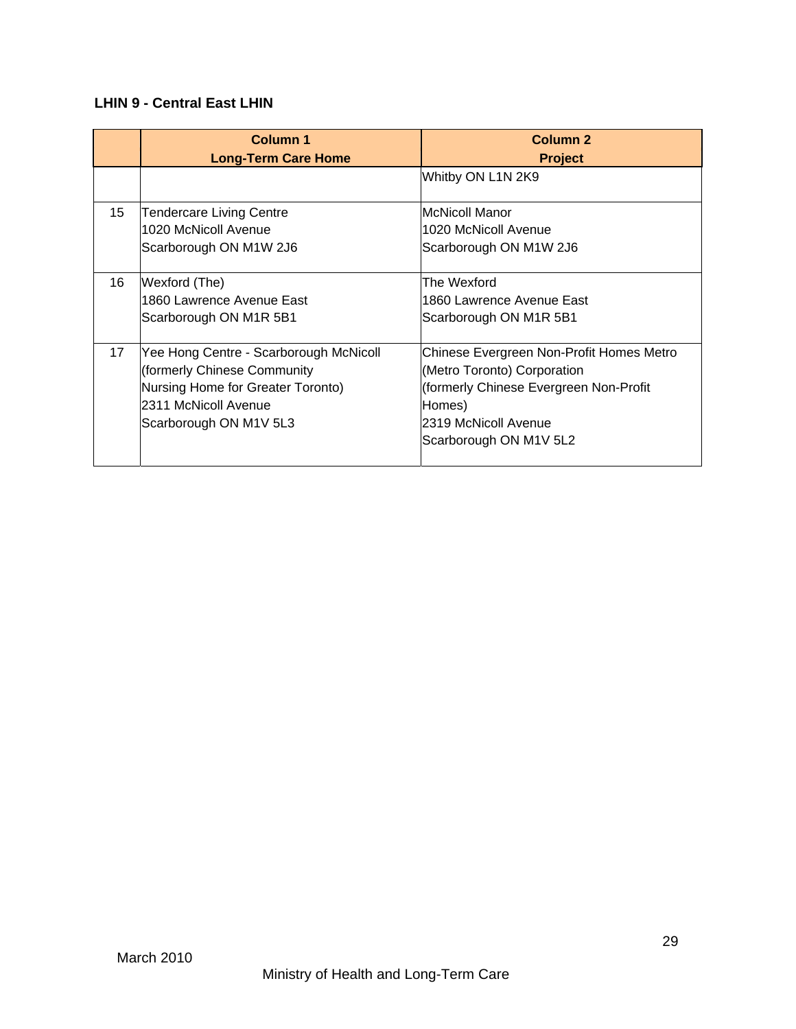|                  | Column 1                               | Column <sub>2</sub>                      |
|------------------|----------------------------------------|------------------------------------------|
|                  | <b>Long-Term Care Home</b>             | <b>Project</b>                           |
|                  |                                        | Whitby ON L1N 2K9                        |
|                  |                                        |                                          |
| 15 <sub>15</sub> | <b>Tendercare Living Centre</b>        | lMcNicoll Manor                          |
|                  | 1020 McNicoll Avenue                   | 1020 McNicoll Avenue                     |
|                  | Scarborough ON M1W 2J6                 | Scarborough ON M1W 2J6                   |
|                  |                                        |                                          |
| 16               | Wexford (The)                          | The Wexford                              |
|                  | 1860 Lawrence Avenue East              | 1860 Lawrence Avenue East                |
|                  | Scarborough ON M1R 5B1                 | Scarborough ON M1R 5B1                   |
|                  |                                        |                                          |
| 17               | Yee Hong Centre - Scarborough McNicoll | Chinese Evergreen Non-Profit Homes Metro |
|                  | (formerly Chinese Community            | (Metro Toronto) Corporation              |
|                  | Nursing Home for Greater Toronto)      | (formerly Chinese Evergreen Non-Profit)  |
|                  | 2311 McNicoll Avenue                   | Homes)                                   |
|                  | Scarborough ON M1V 5L3                 | 2319 McNicoll Avenue                     |
|                  |                                        | Scarborough ON M1V 5L2                   |
|                  |                                        |                                          |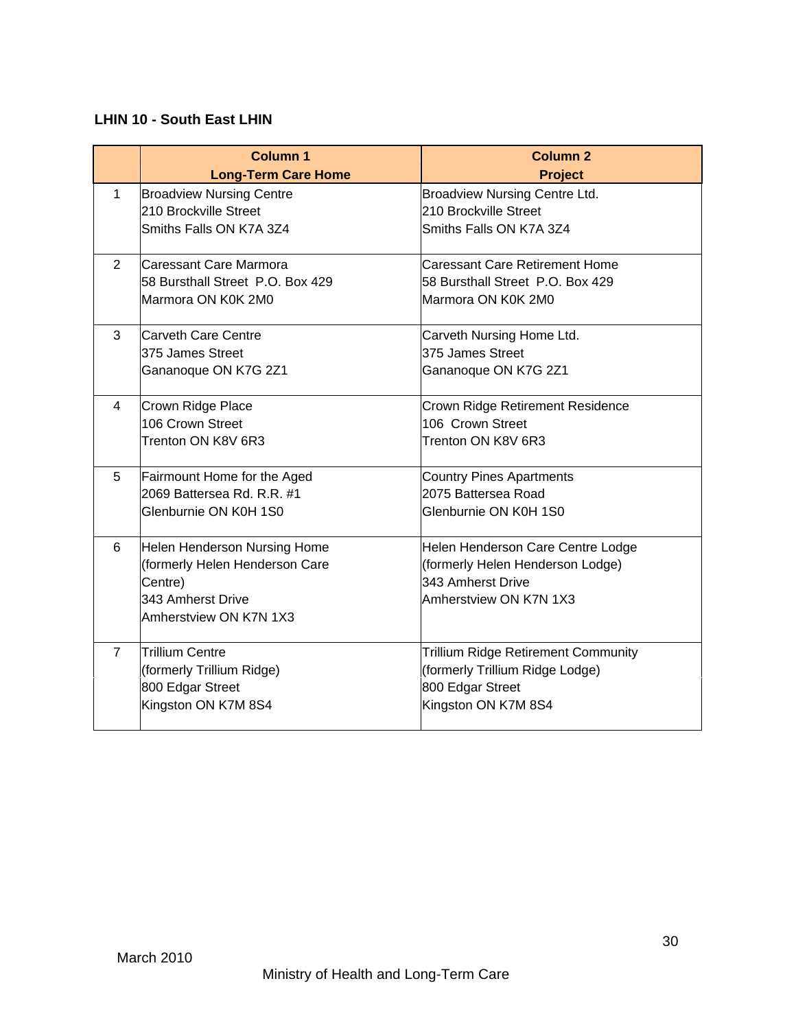#### **LHIN 10 - South East LHIN**

|                | <b>Column 1</b>                                          | <b>Column 2</b>                                        |
|----------------|----------------------------------------------------------|--------------------------------------------------------|
| $\mathbf{1}$   | <b>Long-Term Care Home</b>                               | <b>Project</b>                                         |
|                | <b>Broadview Nursing Centre</b><br>210 Brockville Street | Broadview Nursing Centre Ltd.<br>210 Brockville Street |
|                | Smiths Falls ON K7A 3Z4                                  | Smiths Falls ON K7A 3Z4                                |
|                |                                                          |                                                        |
| $\overline{2}$ | Caressant Care Marmora                                   | <b>Caressant Care Retirement Home</b>                  |
|                | 58 Bursthall Street P.O. Box 429                         | 58 Bursthall Street P.O. Box 429                       |
|                | Marmora ON K0K 2M0                                       | Marmora ON K0K 2M0                                     |
| 3              | Carveth Care Centre                                      | Carveth Nursing Home Ltd.                              |
|                | 375 James Street                                         | 375 James Street                                       |
|                | Gananoque ON K7G 2Z1                                     | Gananoque ON K7G 2Z1                                   |
| 4              | Crown Ridge Place                                        | Crown Ridge Retirement Residence                       |
|                | 106 Crown Street                                         | 106 Crown Street                                       |
|                | Trenton ON K8V 6R3                                       | Trenton ON K8V 6R3                                     |
| 5              | Fairmount Home for the Aged                              | <b>Country Pines Apartments</b>                        |
|                | 2069 Battersea Rd. R.R. #1                               | 2075 Battersea Road                                    |
|                | Glenburnie ON K0H 1S0                                    | Glenburnie ON K0H 1S0                                  |
| 6              | Helen Henderson Nursing Home                             | Helen Henderson Care Centre Lodge                      |
|                | (formerly Helen Henderson Care                           | (formerly Helen Henderson Lodge)                       |
|                | Centre)                                                  | 343 Amherst Drive                                      |
|                | 343 Amherst Drive                                        | Amherstview ON K7N 1X3                                 |
|                | Amherstview ON K7N 1X3                                   |                                                        |
| $\overline{7}$ | <b>Trillium Centre</b>                                   | <b>Trillium Ridge Retirement Community</b>             |
|                | (formerly Trillium Ridge)                                | (formerly Trillium Ridge Lodge)                        |
|                | 800 Edgar Street                                         | 800 Edgar Street                                       |
|                | Kingston ON K7M 8S4                                      | Kingston ON K7M 8S4                                    |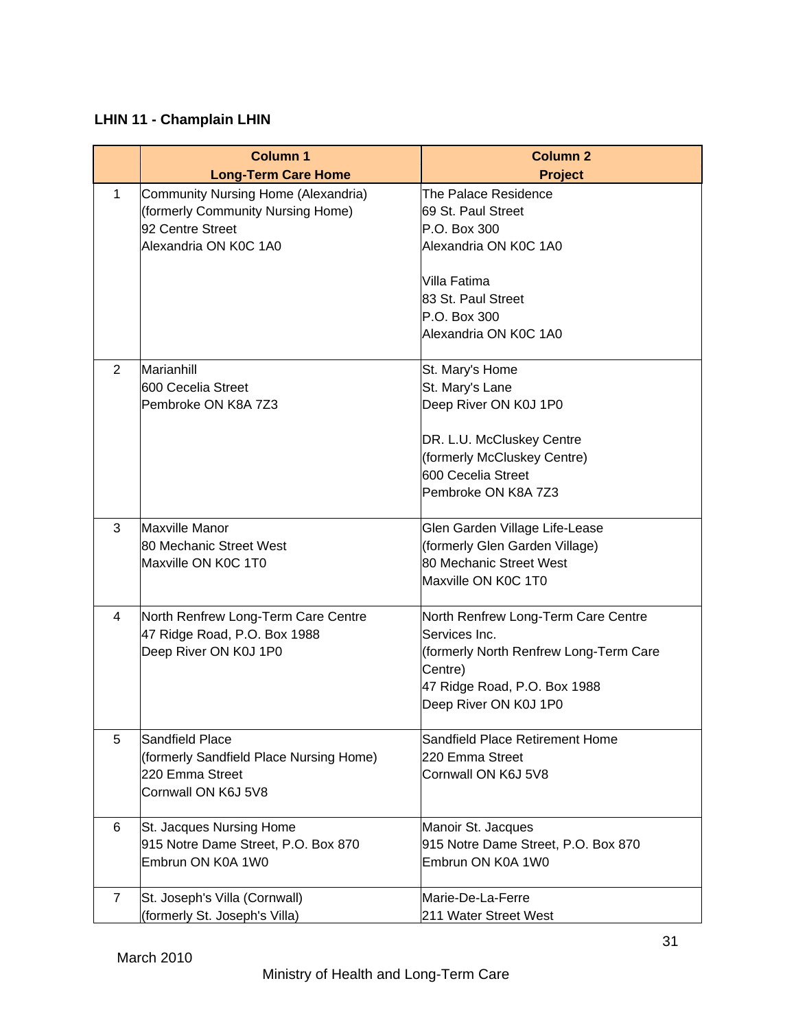## **LHIN 11 - Champlain LHIN**

|                | <b>Column 1</b>                                                                                                       | <b>Column 2</b>                                                                                                                                                      |
|----------------|-----------------------------------------------------------------------------------------------------------------------|----------------------------------------------------------------------------------------------------------------------------------------------------------------------|
|                | <b>Long-Term Care Home</b>                                                                                            | <b>Project</b>                                                                                                                                                       |
| 1              | Community Nursing Home (Alexandria)<br>(formerly Community Nursing Home)<br>92 Centre Street<br>Alexandria ON K0C 1A0 | The Palace Residence<br>69 St. Paul Street<br>P.O. Box 300<br>Alexandria ON K0C 1A0                                                                                  |
|                |                                                                                                                       | Villa Fatima<br>83 St. Paul Street<br>P.O. Box 300<br>Alexandria ON K0C 1A0                                                                                          |
| $\overline{2}$ | Marianhill<br>600 Cecelia Street<br>Pembroke ON K8A 7Z3                                                               | St. Mary's Home<br>St. Mary's Lane<br>Deep River ON K0J 1P0<br>DR. L.U. McCluskey Centre<br>(formerly McCluskey Centre)<br>600 Cecelia Street<br>Pembroke ON K8A 7Z3 |
| 3              | <b>Maxville Manor</b><br>80 Mechanic Street West<br>Maxville ON K0C 1T0                                               | Glen Garden Village Life-Lease<br>(formerly Glen Garden Village)<br>80 Mechanic Street West<br>Maxville ON K0C 1T0                                                   |
| 4              | North Renfrew Long-Term Care Centre<br>47 Ridge Road, P.O. Box 1988<br>Deep River ON K0J 1P0                          | North Renfrew Long-Term Care Centre<br>Services Inc.<br>(formerly North Renfrew Long-Term Care<br>Centre)<br>47 Ridge Road, P.O. Box 1988<br>Deep River ON K0J 1P0   |
| 5              | Sandfield Place<br>(formerly Sandfield Place Nursing Home)<br>220 Emma Street<br>Cornwall ON K6J 5V8                  | Sandfield Place Retirement Home<br>220 Emma Street<br>Cornwall ON K6J 5V8                                                                                            |
| 6              | St. Jacques Nursing Home<br>915 Notre Dame Street, P.O. Box 870<br>Embrun ON K0A 1W0                                  | Manoir St. Jacques<br>915 Notre Dame Street, P.O. Box 870<br>Embrun ON K0A 1W0                                                                                       |
| $\overline{7}$ | St. Joseph's Villa (Cornwall)<br>(formerly St. Joseph's Villa)                                                        | Marie-De-La-Ferre<br>211 Water Street West                                                                                                                           |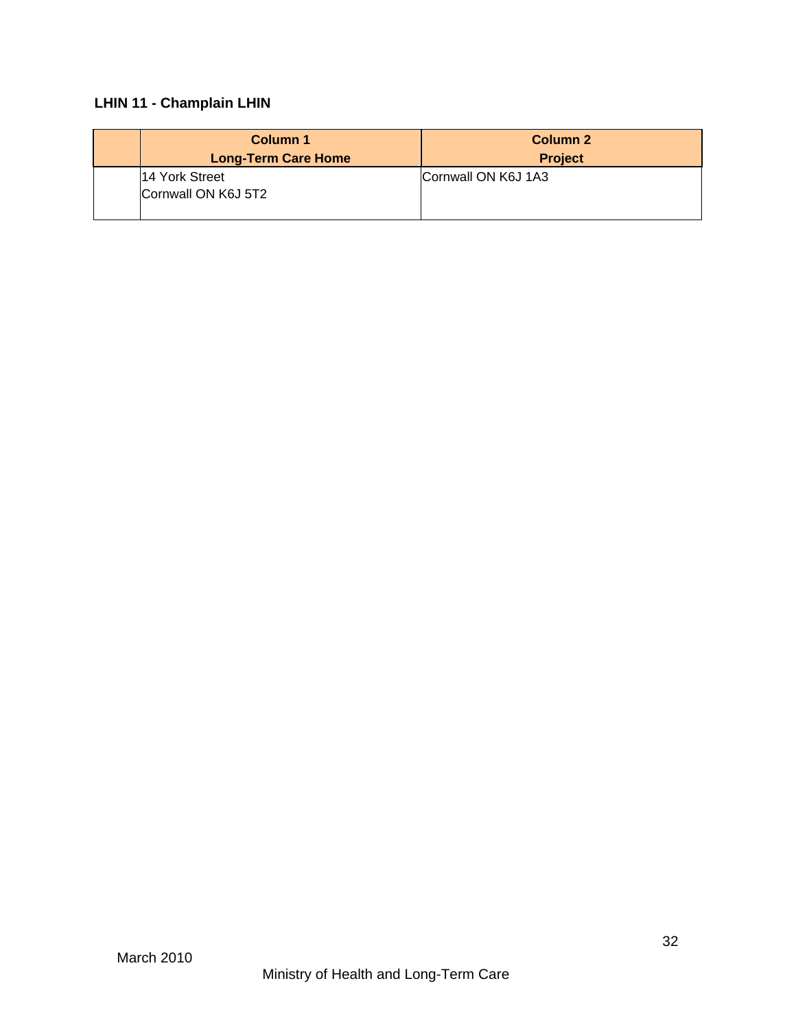## **LHIN 11 - Champlain LHIN**

| Column 1<br><b>Long-Term Care Home</b> | <b>Column 2</b><br><b>Project</b> |
|----------------------------------------|-----------------------------------|
| 14 York Street                         | Cornwall ON K6J 1A3               |
| Cornwall ON K6J 5T2                    |                                   |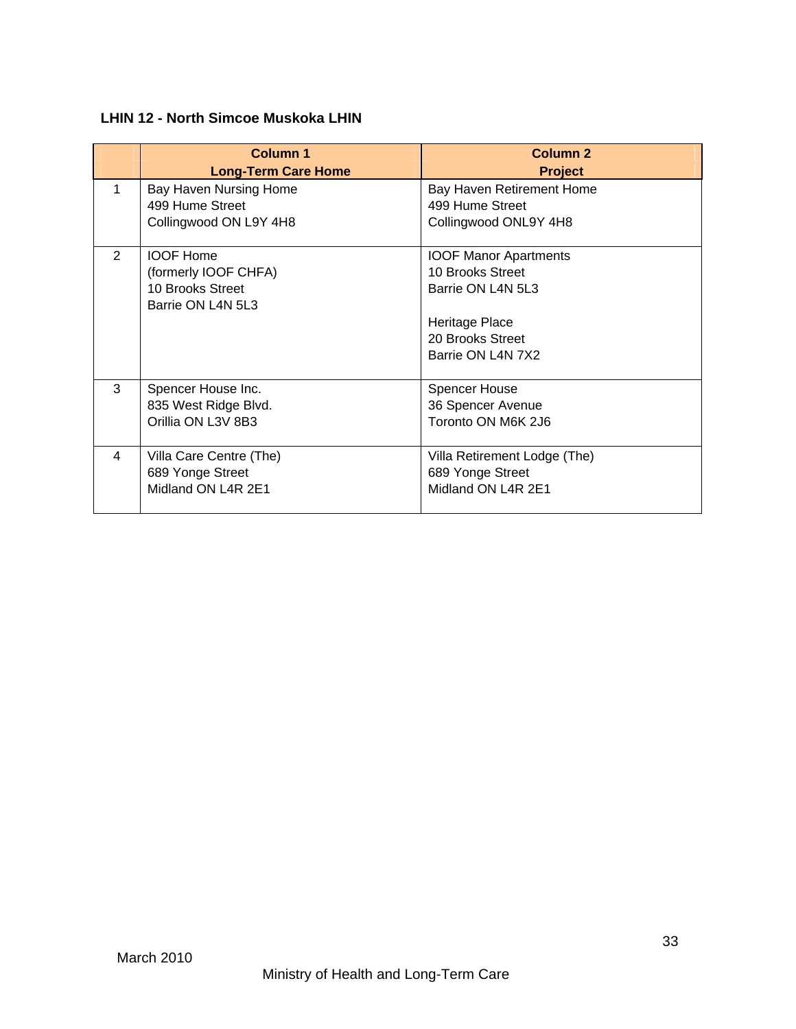## **LHIN 12 - North Simcoe Muskoka LHIN**

|   | <b>Column 1</b><br><b>Long-Term Care Home</b>                                     | Column 2<br><b>Project</b>                                                                                                       |
|---|-----------------------------------------------------------------------------------|----------------------------------------------------------------------------------------------------------------------------------|
| 1 | Bay Haven Nursing Home<br>499 Hume Street<br>Collingwood ON L9Y 4H8               | Bay Haven Retirement Home<br>499 Hume Street<br>Collingwood ONL9Y 4H8                                                            |
| 2 | <b>IOOF Home</b><br>(formerly IOOF CHFA)<br>10 Brooks Street<br>Barrie ON L4N 5L3 | <b>IOOF Manor Apartments</b><br>10 Brooks Street<br>Barrie ON L4N 5L3<br>Heritage Place<br>20 Brooks Street<br>Barrie ON L4N 7X2 |
| 3 | Spencer House Inc.<br>835 West Ridge Blvd.<br>Orillia ON L3V 8B3                  | <b>Spencer House</b><br>36 Spencer Avenue<br>Toronto ON M6K 2J6                                                                  |
| 4 | Villa Care Centre (The)<br>689 Yonge Street<br>Midland ON L4R 2E1                 | Villa Retirement Lodge (The)<br>689 Yonge Street<br>Midland ON L4R 2E1                                                           |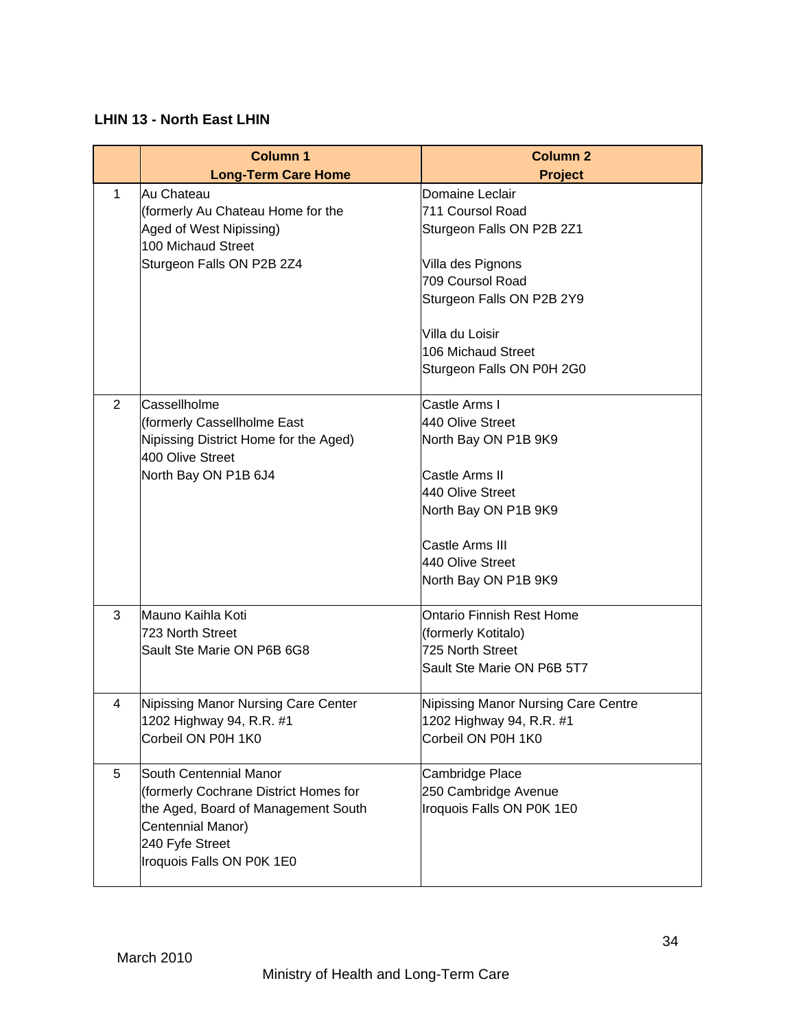#### **LHIN 13 - North East LHIN**

|              | <b>Column 1</b>                                                                                                                                                             | <b>Column 2</b>                                                                                           |
|--------------|-----------------------------------------------------------------------------------------------------------------------------------------------------------------------------|-----------------------------------------------------------------------------------------------------------|
|              | <b>Long-Term Care Home</b>                                                                                                                                                  | <b>Project</b>                                                                                            |
| $\mathbf{1}$ | lAu Chateau<br>(formerly Au Chateau Home for the<br>Aged of West Nipissing)<br>100 Michaud Street                                                                           | Domaine Leclair<br>711 Coursol Road<br>Sturgeon Falls ON P2B 2Z1                                          |
|              | Sturgeon Falls ON P2B 2Z4                                                                                                                                                   | Villa des Pignons<br>709 Coursol Road<br>Sturgeon Falls ON P2B 2Y9                                        |
|              |                                                                                                                                                                             | Villa du Loisir<br>106 Michaud Street<br>Sturgeon Falls ON P0H 2G0                                        |
| 2            | Cassellholme<br>(formerly Cassellholme East<br>Nipissing District Home for the Aged)<br>400 Olive Street                                                                    | Castle Arms I<br>440 Olive Street<br>North Bay ON P1B 9K9                                                 |
|              | North Bay ON P1B 6J4                                                                                                                                                        | Castle Arms II<br>440 Olive Street<br>North Bay ON P1B 9K9                                                |
|              |                                                                                                                                                                             | Castle Arms III<br>440 Olive Street<br>North Bay ON P1B 9K9                                               |
| 3            | Mauno Kaihla Koti<br>723 North Street<br>Sault Ste Marie ON P6B 6G8                                                                                                         | <b>Ontario Finnish Rest Home</b><br>(formerly Kotitalo)<br>725 North Street<br>Sault Ste Marie ON P6B 5T7 |
| 4            | Nipissing Manor Nursing Care Center<br>1202 Highway 94, R.R. #1<br>Corbeil ON P0H 1K0                                                                                       | <b>Nipissing Manor Nursing Care Centre</b><br>1202 Highway 94, R.R. #1<br>Corbeil ON P0H 1K0              |
| 5            | South Centennial Manor<br>(formerly Cochrane District Homes for<br>the Aged, Board of Management South<br>Centennial Manor)<br>240 Fyfe Street<br>Iroquois Falls ON P0K 1E0 | Cambridge Place<br>250 Cambridge Avenue<br>Iroquois Falls ON P0K 1E0                                      |